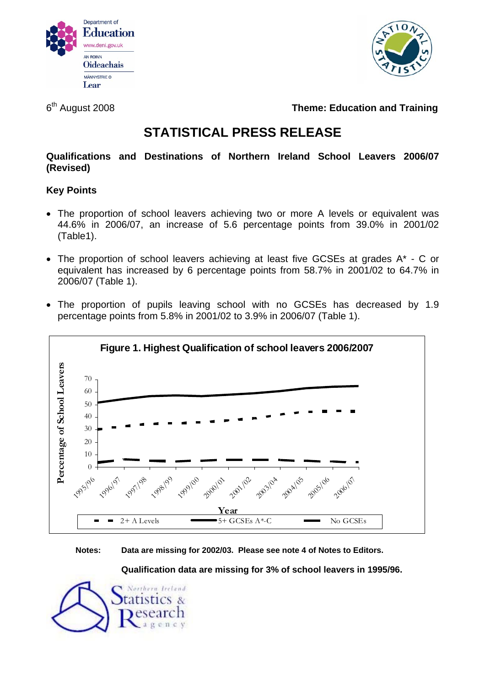



6th August 2008 **Theme: Education and Training** 

# **STATISTICAL PRESS RELEASE**

**Qualifications and Destinations of Northern Ireland School Leavers 2006/07 (Revised)** 

# **Key Points**

- The proportion of school leavers achieving two or more A levels or equivalent was 44.6% in 2006/07, an increase of 5.6 percentage points from 39.0% in 2001/02 (Table1).
- The proportion of school leavers achieving at least five GCSEs at grades A\* C or equivalent has increased by 6 percentage points from 58.7% in 2001/02 to 64.7% in 2006/07 (Table 1).
- The proportion of pupils leaving school with no GCSEs has decreased by 1.9 percentage points from 5.8% in 2001/02 to 3.9% in 2006/07 (Table 1).



**Notes: Data are missing for 2002/03. Please see note 4 of Notes to Editors.** 

**Qualification data are missing for 3% of school leavers in 1995/96.** 

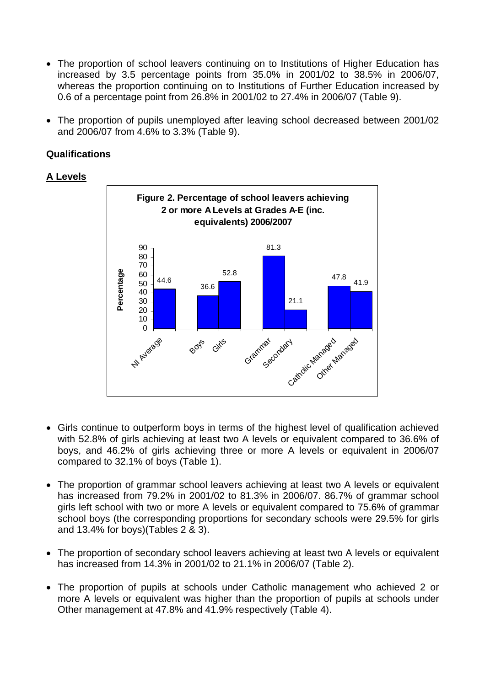- The proportion of school leavers continuing on to Institutions of Higher Education has increased by 3.5 percentage points from 35.0% in 2001/02 to 38.5% in 2006/07, whereas the proportion continuing on to Institutions of Further Education increased by 0.6 of a percentage point from 26.8% in 2001/02 to 27.4% in 2006/07 (Table 9).
- The proportion of pupils unemployed after leaving school decreased between 2001/02 and 2006/07 from 4.6% to 3.3% (Table 9).

# **Qualifications**

# **A Levels**



- Girls continue to outperform boys in terms of the highest level of qualification achieved with 52.8% of girls achieving at least two A levels or equivalent compared to 36.6% of boys, and 46.2% of girls achieving three or more A levels or equivalent in 2006/07 compared to 32.1% of boys (Table 1).
- The proportion of grammar school leavers achieving at least two A levels or equivalent has increased from 79.2% in 2001/02 to 81.3% in 2006/07. 86.7% of grammar school girls left school with two or more A levels or equivalent compared to 75.6% of grammar school boys (the corresponding proportions for secondary schools were 29.5% for girls and 13.4% for boys)(Tables 2 & 3).
- The proportion of secondary school leavers achieving at least two A levels or equivalent has increased from 14.3% in 2001/02 to 21.1% in 2006/07 (Table 2).
- The proportion of pupils at schools under Catholic management who achieved 2 or more A levels or equivalent was higher than the proportion of pupils at schools under Other management at 47.8% and 41.9% respectively (Table 4).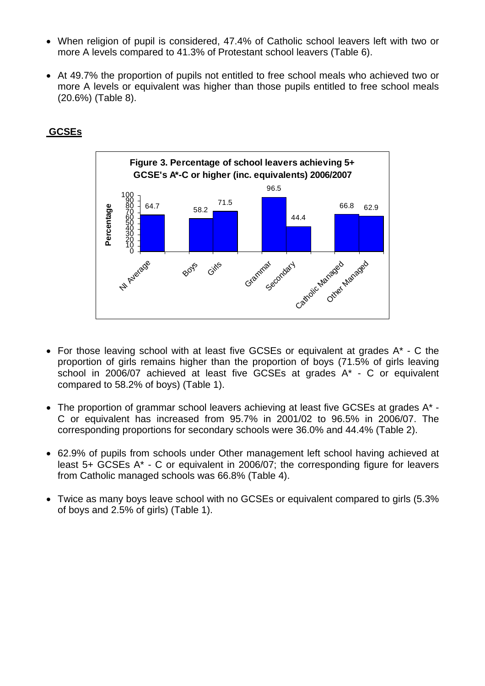- When religion of pupil is considered, 47.4% of Catholic school leavers left with two or more A levels compared to 41.3% of Protestant school leavers (Table 6).
- At 49.7% the proportion of pupils not entitled to free school meals who achieved two or more A levels or equivalent was higher than those pupils entitled to free school meals (20.6%) (Table 8).



# **GCSEs**

- For those leaving school with at least five GCSEs or equivalent at grades A\* C the proportion of girls remains higher than the proportion of boys (71.5% of girls leaving school in 2006/07 achieved at least five GCSEs at grades A\* - C or equivalent compared to 58.2% of boys) (Table 1).
- The proportion of grammar school leavers achieving at least five GCSEs at grades A\* C or equivalent has increased from 95.7% in 2001/02 to 96.5% in 2006/07. The corresponding proportions for secondary schools were 36.0% and 44.4% (Table 2).
- 62.9% of pupils from schools under Other management left school having achieved at least 5+ GCSEs A\* - C or equivalent in 2006/07; the corresponding figure for leavers from Catholic managed schools was 66.8% (Table 4).
- Twice as many boys leave school with no GCSEs or equivalent compared to girls (5.3% of boys and 2.5% of girls) (Table 1).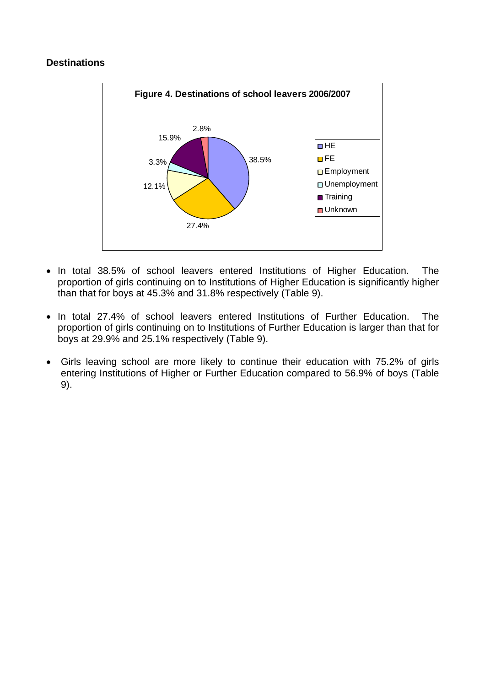# **Destinations**



- In total 38.5% of school leavers entered Institutions of Higher Education. The proportion of girls continuing on to Institutions of Higher Education is significantly higher than that for boys at 45.3% and 31.8% respectively (Table 9).
- In total 27.4% of school leavers entered Institutions of Further Education. The proportion of girls continuing on to Institutions of Further Education is larger than that for boys at 29.9% and 25.1% respectively (Table 9).
- Girls leaving school are more likely to continue their education with 75.2% of girls entering Institutions of Higher or Further Education compared to 56.9% of boys (Table 9).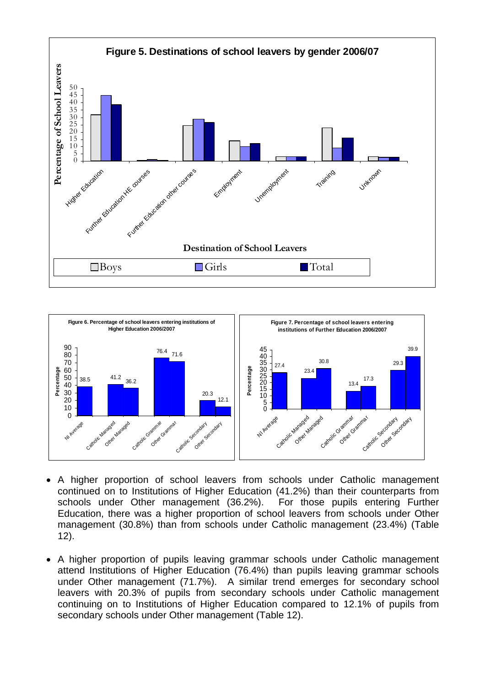



- A higher proportion of school leavers from schools under Catholic management continued on to Institutions of Higher Education (41.2%) than their counterparts from schools under Other management (36.2%). For those pupils entering Further Education, there was a higher proportion of school leavers from schools under Other management (30.8%) than from schools under Catholic management (23.4%) (Table 12).
- A higher proportion of pupils leaving grammar schools under Catholic management attend Institutions of Higher Education (76.4%) than pupils leaving grammar schools under Other management (71.7%). A similar trend emerges for secondary school leavers with 20.3% of pupils from secondary schools under Catholic management continuing on to Institutions of Higher Education compared to 12.1% of pupils from secondary schools under Other management (Table 12).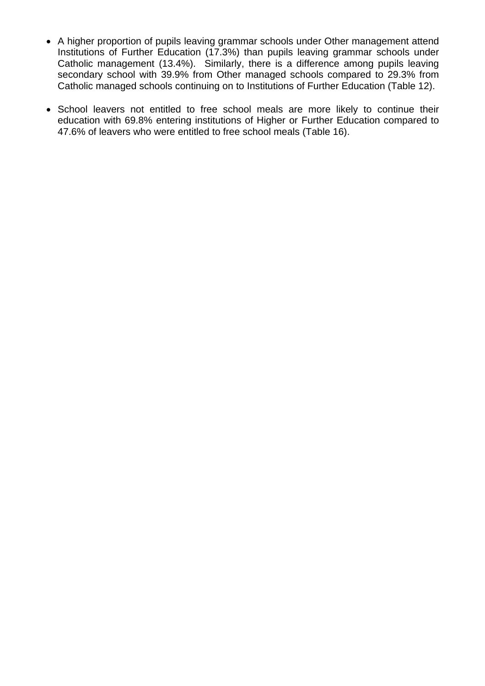- A higher proportion of pupils leaving grammar schools under Other management attend Institutions of Further Education (17.3%) than pupils leaving grammar schools under Catholic management (13.4%). Similarly, there is a difference among pupils leaving secondary school with 39.9% from Other managed schools compared to 29.3% from Catholic managed schools continuing on to Institutions of Further Education (Table 12).
- School leavers not entitled to free school meals are more likely to continue their education with 69.8% entering institutions of Higher or Further Education compared to 47.6% of leavers who were entitled to free school meals (Table 16).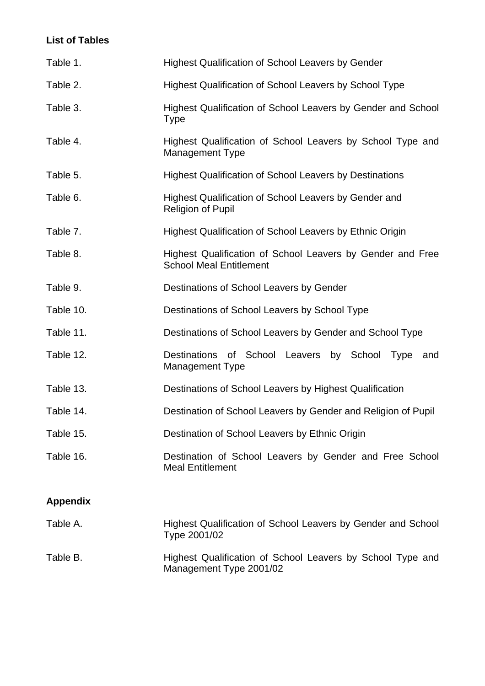# **List of Tables**

| Table 1.        | <b>Highest Qualification of School Leavers by Gender</b>                                     |  |  |  |  |  |  |
|-----------------|----------------------------------------------------------------------------------------------|--|--|--|--|--|--|
| Table 2.        | <b>Highest Qualification of School Leavers by School Type</b>                                |  |  |  |  |  |  |
| Table 3.        | Highest Qualification of School Leavers by Gender and School<br>Type                         |  |  |  |  |  |  |
| Table 4.        | Highest Qualification of School Leavers by School Type and<br><b>Management Type</b>         |  |  |  |  |  |  |
| Table 5.        | <b>Highest Qualification of School Leavers by Destinations</b>                               |  |  |  |  |  |  |
| Table 6.        | Highest Qualification of School Leavers by Gender and<br><b>Religion of Pupil</b>            |  |  |  |  |  |  |
| Table 7.        | <b>Highest Qualification of School Leavers by Ethnic Origin</b>                              |  |  |  |  |  |  |
| Table 8.        | Highest Qualification of School Leavers by Gender and Free<br><b>School Meal Entitlement</b> |  |  |  |  |  |  |
| Table 9.        | Destinations of School Leavers by Gender                                                     |  |  |  |  |  |  |
| Table 10.       | Destinations of School Leavers by School Type                                                |  |  |  |  |  |  |
| Table 11.       | Destinations of School Leavers by Gender and School Type                                     |  |  |  |  |  |  |
| Table 12.       | Destinations of School Leavers by School<br>Type<br>and<br><b>Management Type</b>            |  |  |  |  |  |  |
| Table 13.       | Destinations of School Leavers by Highest Qualification                                      |  |  |  |  |  |  |
| Table 14.       | Destination of School Leavers by Gender and Religion of Pupil                                |  |  |  |  |  |  |
| Table 15.       | Destination of School Leavers by Ethnic Origin                                               |  |  |  |  |  |  |
| Table 16.       | Destination of School Leavers by Gender and Free School<br><b>Meal Entitlement</b>           |  |  |  |  |  |  |
| <b>Appendix</b> |                                                                                              |  |  |  |  |  |  |
| Table A.        | Highest Qualification of School Leavers by Gender and School<br>Type 2001/02                 |  |  |  |  |  |  |

Table B. Highest Qualification of School Leavers by School Type and Management Type 2001/02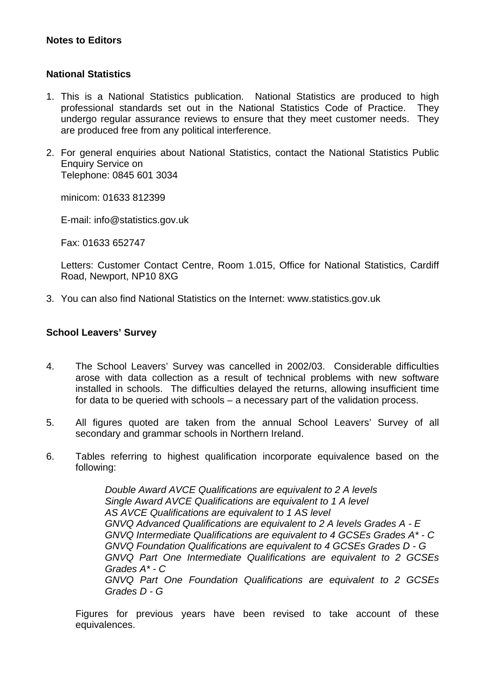## **Notes to Editors**

## **National Statistics**

- 1. This is a National Statistics publication. National Statistics are produced to high professional standards set out in the National Statistics Code of Practice. They undergo regular assurance reviews to ensure that they meet customer needs. They are produced free from any political interference.
- 2. For general enquiries about National Statistics, contact the National Statistics Public Enquiry Service on Telephone: 0845 601 3034

minicom: 01633 812399

E-mail: info@statistics.gov.uk

Fax: 01633 652747

Letters: Customer Contact Centre, Room 1.015, Office for National Statistics, Cardiff Road, Newport, NP10 8XG

3. You can also find National Statistics on the Internet: www.statistics.gov.uk

#### **School Leavers' Survey**

- 4. The School Leavers' Survey was cancelled in 2002/03. Considerable difficulties arose with data collection as a result of technical problems with new software installed in schools. The difficulties delayed the returns, allowing insufficient time for data to be queried with schools – a necessary part of the validation process.
- 5. All figures quoted are taken from the annual School Leavers' Survey of all secondary and grammar schools in Northern Ireland.
- 6. Tables referring to highest qualification incorporate equivalence based on the following:

*Double Award AVCE Qualifications are equivalent to 2 A levels Single Award AVCE Qualifications are equivalent to 1 A level AS AVCE Qualifications are equivalent to 1 AS level GNVQ Advanced Qualifications are equivalent to 2 A levels Grades A - E GNVQ Intermediate Qualifications are equivalent to 4 GCSEs Grades A\* - C GNVQ Foundation Qualifications are equivalent to 4 GCSEs Grades D - G GNVQ Part One Intermediate Qualifications are equivalent to 2 GCSEs Grades A\* - C GNVQ Part One Foundation Qualifications are equivalent to 2 GCSEs Grades D - G* 

Figures for previous years have been revised to take account of these equivalences.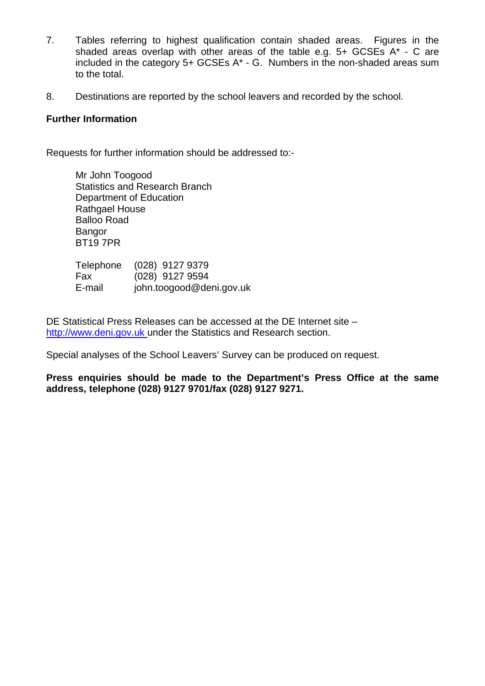- 7. Tables referring to highest qualification contain shaded areas. Figures in the shaded areas overlap with other areas of the table e.g. 5+ GCSEs A\* - C are included in the category 5+ GCSEs A\* - G. Numbers in the non-shaded areas sum to the total.
- 8. Destinations are reported by the school leavers and recorded by the school.

## **Further Information**

Requests for further information should be addressed to:-

Mr John Toogood Statistics and Research Branch Department of Education Rathgael House Balloo Road **Bangor** BT19 7PR

|        | Telephone (028) 9127 9379 |
|--------|---------------------------|
| Fax    | (028) 9127 9594           |
| E-mail | john.toogood@deni.gov.uk  |

DE Statistical Press Releases can be accessed at the DE Internet site – http://www.deni.gov.uk under the Statistics and Research section.

Special analyses of the School Leavers' Survey can be produced on request.

**Press enquiries should be made to the Department's Press Office at the same address, telephone (028) 9127 9701/fax (028) 9127 9271.**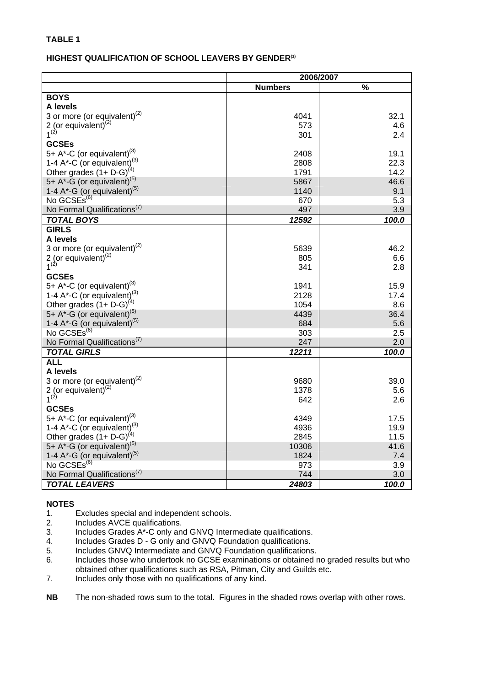#### **HIGHEST QUALIFICATION OF SCHOOL LEAVERS BY GENDER<sup>(1)</sup>**

|                                             | 2006/2007      |               |
|---------------------------------------------|----------------|---------------|
|                                             | <b>Numbers</b> | $\frac{9}{6}$ |
| <b>BOYS</b>                                 |                |               |
| A levels                                    |                |               |
| 3 or more (or equivalent) $^{(2)}$          | 4041           | 32.1          |
| 2 (or equivalent) $(2)$                     | 573            | 4.6           |
| $1^{(2)}$                                   | 301            | 2.4           |
| <b>GCSEs</b>                                |                |               |
| 5+ A*-C (or equivalent) <sup>(3)</sup>      | 2408           | 19.1          |
| 1-4 A*-C (or equivalent) <sup>(3)</sup>     | 2808           | 22.3          |
| Other grades $(1 + D - G)^{(4)}$            | 1791           | 14.2          |
| 5+ $A^*$ -G (or equivalent) <sup>(5)</sup>  | 5867           | 46.6          |
| 1-4 $A^*$ -G (or equivalent) <sup>(5)</sup> | 1140           | 9.1           |
| No GCSEs <sup>(6)</sup>                     | 670            | 5.3           |
| No Formal Qualifications <sup>(7)</sup>     | 497            | 3.9           |
| <b>TOTAL BOYS</b>                           | 12592          | 100.0         |
| <b>GIRLS</b>                                |                |               |
| A levels                                    |                |               |
| 3 or more (or equivalent) $^{(2)}$          | 5639           | 46.2          |
| $2$ (or equivalent) <sup>(2)</sup>          | 805            | 6.6           |
| $1^{(2)}$                                   | 341            | 2.8           |
| <b>GCSEs</b>                                |                |               |
| 5+ $A^*$ -C (or equivalent) <sup>(3)</sup>  | 1941           | 15.9          |
| 1-4 A*-C (or equivalent) <sup>(3)</sup>     | 2128           | 17.4          |
| Other grades $(1 + D - G)^{(4)}$            | 1054           | 8.6           |
| 5+ A*-G (or equivalent) <sup>(5)</sup>      | 4439           | 36.4          |
| 1-4 $A^*$ -G (or equivalent) <sup>(5)</sup> | 684            | 5.6           |
| No GCSEs <sup>(6)</sup>                     | 303            | 2.5           |
| No Formal Qualifications <sup>(7)</sup>     | 247            | 2.0           |
| <b>TOTAL GIRLS</b>                          | 12211          | 100.0         |
| <b>ALL</b>                                  |                |               |
| A levels                                    |                |               |
| 3 or more (or equivalent) $(2)$             | 9680           | 39.0          |
| 2 (or equivalent) $^{(2)}$<br>$1^{(2)}$     | 1378           | 5.6           |
| <b>GCSEs</b>                                | 642            | 2.6           |
| 5+ A*-C (or equivalent) <sup>(3)</sup>      | 4349           | 17.5          |
| 1-4 $A^*$ -C (or equivalent) <sup>(3)</sup> | 4936           | 19.9          |
| Other grades $(1 + D - G)^{(4)}$            | 2845           | 11.5          |
| 5+ A*-G (or equivalent) <sup>(5)</sup>      | 10306          | 41.6          |
| 1-4 $A^*$ -G (or equivalent) <sup>(5)</sup> | 1824           | 7.4           |
| No GCSEs <sup>(6)</sup>                     | 973            | 3.9           |
| No Formal Qualifications <sup>(7)</sup>     | 744            | 3.0           |
| <b>TOTAL LEAVERS</b>                        | 24803          | 100.0         |
|                                             |                |               |

- 1. Excludes special and independent schools.<br>2. Includes AVCE qualifications.
- Includes AVCE qualifications.
- 3. Includes Grades A\*-C only and GNVQ Intermediate qualifications.
- 4. Includes Grades D G only and GNVQ Foundation qualifications.
- 5. Includes GNVQ Intermediate and GNVQ Foundation qualifications.
- 6. Includes those who undertook no GCSE examinations or obtained no graded results but who obtained other qualifications such as RSA, Pitman, City and Guilds etc.
- 7. Includes only those with no qualifications of any kind.
- **NB** The non-shaded rows sum to the total. Figures in the shaded rows overlap with other rows.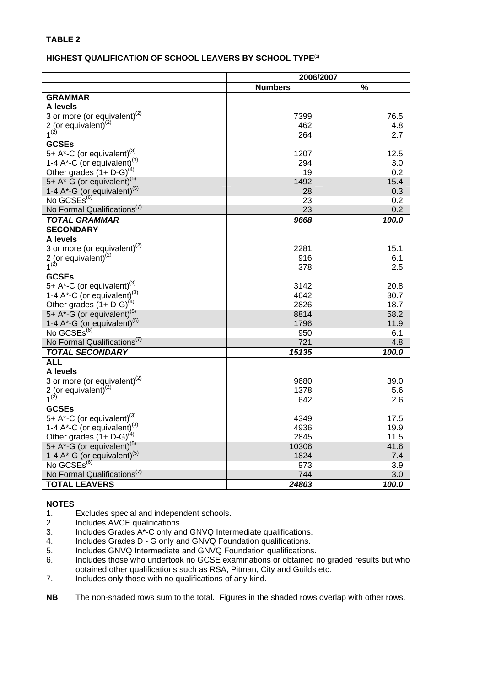#### **HIGHEST QUALIFICATION OF SCHOOL LEAVERS BY SCHOOL TYPE(1)**

|                                             | 2006/2007      |               |
|---------------------------------------------|----------------|---------------|
|                                             | <b>Numbers</b> | $\frac{0}{0}$ |
| <b>GRAMMAR</b>                              |                |               |
| A levels                                    |                |               |
| 3 or more (or equivalent) <sup>(2)</sup>    | 7399           | 76.5          |
| 2 (or equivalent) $(2)$                     | 462            | 4.8           |
| $1^{(2)}$                                   | 264            | 2.7           |
| <b>GCSEs</b>                                |                |               |
| 5+ A*-C (or equivalent) <sup>(3)</sup>      | 1207           | 12.5          |
| 1-4 A*-C (or equivalent) <sup>(3)</sup>     | 294            | 3.0           |
| Other grades $(1 + D-G)^{(4)}$              | 19             | 0.2           |
| 5+ A*-G (or equivalent) <sup>(5)</sup>      | 1492           | 15.4          |
| 1-4 $A^*$ -G (or equivalent) <sup>(5)</sup> | 28             | 0.3           |
| No GCSEs <sup>(6)</sup>                     | 23             | 0.2           |
| No Formal Qualifications <sup>(7)</sup>     | 23             | 0.2           |
| TOTAL GRAMMAR                               | 9668           | 100.0         |
| <b>SECONDARY</b>                            |                |               |
| A levels                                    |                |               |
| 3 or more (or equivalent) $^{(2)}$          | 2281           | 15.1          |
| $2$ (or equivalent) <sup>(2)</sup>          | 916            | 6.1           |
| $1^{(2)}$                                   | 378            | 2.5           |
| <b>GCSEs</b>                                |                |               |
| 5+ A*-C (or equivalent) <sup>(3)</sup>      | 3142           | 20.8          |
| 1-4 A*-C (or equivalent) <sup>(3)</sup>     | 4642           | 30.7          |
| Other grades $(1 + D - G)^{(4)}$            | 2826           | 18.7          |
| 5+ A*-G (or equivalent) <sup>(5)</sup>      | 8814           | 58.2          |
| 1-4 $A^*$ -G (or equivalent) <sup>(5)</sup> | 1796           | 11.9          |
| No GCSEs <sup>(6)</sup>                     | 950            | 6.1           |
| No Formal Qualifications <sup>(7)</sup>     | 721            | 4.8           |
| <b>TOTAL SECONDARY</b>                      | 15135          | 100.0         |
| <b>ALL</b>                                  |                |               |
| A levels                                    |                |               |
| 3 or more (or equivalent) $^{(2)}$          | 9680           | 39.0          |
| 2 (or equivalent) $^{(2)}$                  | 1378           | 5.6           |
| $1^{(2)}$                                   | 642            | 2.6           |
| <b>GCSEs</b>                                |                |               |
| 5+ A*-C (or equivalent) <sup>(3)</sup>      | 4349           | 17.5          |
| 1-4 $A^*$ -C (or equivalent) <sup>(3)</sup> | 4936           | 19.9          |
| Other grades $(1 + D - G)^{(4)}$            | 2845           | 11.5          |
| 5+ A*-G (or equivalent) <sup>(5)</sup>      | 10306          | 41.6          |
| 1-4 $A^*$ -G (or equivalent) <sup>(5)</sup> | 1824           | 7.4           |
| No GCSEs <sup>(6)</sup>                     | 973            | 3.9           |
| No Formal Qualifications <sup>(7)</sup>     | 744            | 3.0           |
| <b>TOTAL LEAVERS</b>                        | 24803          | 100.0         |

- 1. Excludes special and independent schools.<br>2. Includes AVCE qualifications.
- Includes AVCE qualifications.
- 3. Includes Grades A\*-C only and GNVQ Intermediate qualifications.
- 4. Includes Grades D G only and GNVQ Foundation qualifications.
- 5. Includes GNVQ Intermediate and GNVQ Foundation qualifications.
- 6. Includes those who undertook no GCSE examinations or obtained no graded results but who obtained other qualifications such as RSA, Pitman, City and Guilds etc.
- 7. Includes only those with no qualifications of any kind.
- **NB** The non-shaded rows sum to the total. Figures in the shaded rows overlap with other rows.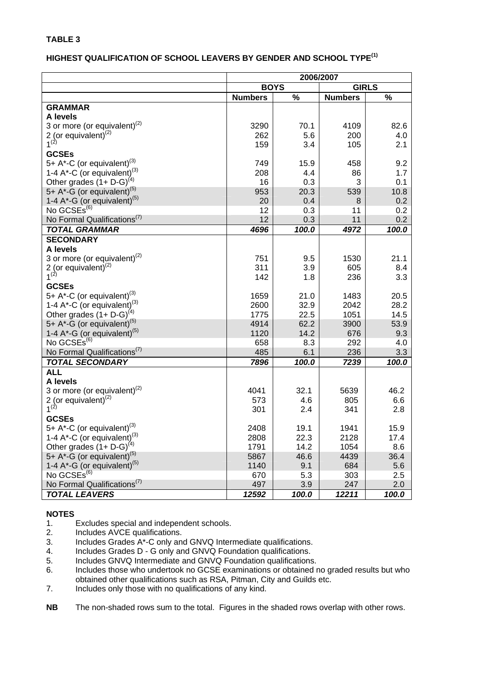## **HIGHEST QUALIFICATION OF SCHOOL LEAVERS BY GENDER AND SCHOOL TYPE(1)**

|                                             | 2006/2007      |       |                |       |  |  |
|---------------------------------------------|----------------|-------|----------------|-------|--|--|
|                                             | <b>BOYS</b>    |       | <b>GIRLS</b>   |       |  |  |
|                                             | <b>Numbers</b> | $\%$  | <b>Numbers</b> | $\%$  |  |  |
| <b>GRAMMAR</b>                              |                |       |                |       |  |  |
| A levels                                    |                |       |                |       |  |  |
| 3 or more (or equivalent) $(2)$             | 3290           | 70.1  | 4109           | 82.6  |  |  |
| 2 (or equivalent) $^{(2)}$                  | 262            | 5.6   | 200            | 4.0   |  |  |
| $1^{(2)}$                                   | 159            | 3.4   | 105            | 2.1   |  |  |
| <b>GCSEs</b>                                |                |       |                |       |  |  |
| 5+ A*-C (or equivalent) <sup>(3)</sup>      | 749            | 15.9  | 458            | 9.2   |  |  |
| 1-4 A*-C (or equivalent). <sup>(3)</sup>    | 208            | 4.4   | 86             | 1.7   |  |  |
| Other grades $(1 + D - G)^{(4)}$            | 16             | 0.3   | 3              | 0.1   |  |  |
| 5+ $A^*$ -G (or equivalent) <sup>(5)</sup>  | 953            | 20.3  | 539            | 10.8  |  |  |
| 1-4 $A^*$ -G (or equivalent) <sup>(5)</sup> | 20             | 0.4   | 8              | 0.2   |  |  |
| No GCSEs <sup>(6)</sup>                     | 12             | 0.3   | 11             | 0.2   |  |  |
| No Formal Qualifications <sup>(7)</sup>     | 12             | 0.3   | 11             | 0.2   |  |  |
| <b>TOTAL GRAMMAR</b>                        | 4696           | 100.0 | 4972           | 100.0 |  |  |
| <b>SECONDARY</b>                            |                |       |                |       |  |  |
| A levels                                    |                |       |                |       |  |  |
| 3 or more (or equivalent) <sup>(2)</sup>    | 751            | 9.5   | 1530           | 21.1  |  |  |
| 2 (or equivalent) $(2)$                     | 311            | 3.9   | 605            | 8.4   |  |  |
| $1^{(2)}$                                   | 142            | 1.8   | 236            | 3.3   |  |  |
| <b>GCSEs</b>                                |                |       |                |       |  |  |
| 5+ $A^*$ -C (or equivalent) <sup>(3)</sup>  | 1659           | 21.0  | 1483           | 20.5  |  |  |
| 1-4 A*-C (or equivalent) <sup>(3)</sup>     | 2600           | 32.9  | 2042           | 28.2  |  |  |
| Other grades $(1 + D - G)^{(4)}$            | 1775           | 22.5  | 1051           | 14.5  |  |  |
| 5+ $A^*$ -G (or equivalent) <sup>(5)</sup>  | 4914           | 62.2  | 3900           | 53.9  |  |  |
| 1-4 $A^*$ -G (or equivalent) <sup>(5)</sup> | 1120           | 14.2  | 676            | 9.3   |  |  |
| No GCSEs <sup>(6)</sup>                     | 658            | 8.3   | 292            | 4.0   |  |  |
| No Formal Qualifications <sup>(7)</sup>     | 485            | 6.1   | 236            | 3.3   |  |  |
| <b>TOTAL SECONDARY</b>                      | 7896           | 100.0 | 7239           | 100.0 |  |  |
| <b>ALL</b>                                  |                |       |                |       |  |  |
| A levels                                    |                |       |                |       |  |  |
| 3 or more (or equivalent) <sup>(2)</sup>    | 4041           | 32.1  | 5639           | 46.2  |  |  |
| 2 (or equivalent) $^{(2)}$<br>$1^{(2)}$     | 573            | 4.6   | 805            | 6.6   |  |  |
| <b>GCSEs</b>                                | 301            | 2.4   | 341            | 2.8   |  |  |
| 5+ $A^*$ -C (or equivalent) <sup>(3)</sup>  | 2408           | 19.1  | 1941           | 15.9  |  |  |
| 1-4 A*-C (or equivalent) <sup>(3)</sup>     | 2808           | 22.3  | 2128           | 17.4  |  |  |
| Other grades $(1 + D - G)^{(4)}$            | 1791           | 14.2  | 1054           | 8.6   |  |  |
| 5+ $A^*$ -G (or equivalent) <sup>(5)</sup>  | 5867           | 46.6  | 4439           | 36.4  |  |  |
| 1-4 A*-G (or equivalent) <sup>(5)</sup>     | 1140           | 9.1   | 684            | 5.6   |  |  |
| No GCSEs <sup>(6)</sup>                     | 670            | 5.3   | 303            | 2.5   |  |  |
| No Formal Qualifications <sup>(7)</sup>     | 497            | 3.9   | 247            | 2.0   |  |  |
| <b>TOTAL LEAVERS</b>                        | 12592          | 100.0 | 12211          | 100.0 |  |  |
|                                             |                |       |                |       |  |  |

- 1. Excludes special and independent schools.
- 2. Includes AVCE qualifications.
- 3. Includes Grades A\*-C only and GNVQ Intermediate qualifications.
- 4. Includes Grades D G only and GNVQ Foundation qualifications.
- 5. Includes GNVQ Intermediate and GNVQ Foundation qualifications.<br>6. Includes those who undertook no GCSE examinations or obtained r
- Includes those who undertook no GCSE examinations or obtained no graded results but who obtained other qualifications such as RSA, Pitman, City and Guilds etc.
- 7. Includes only those with no qualifications of any kind.
- **NB** The non-shaded rows sum to the total. Figures in the shaded rows overlap with other rows.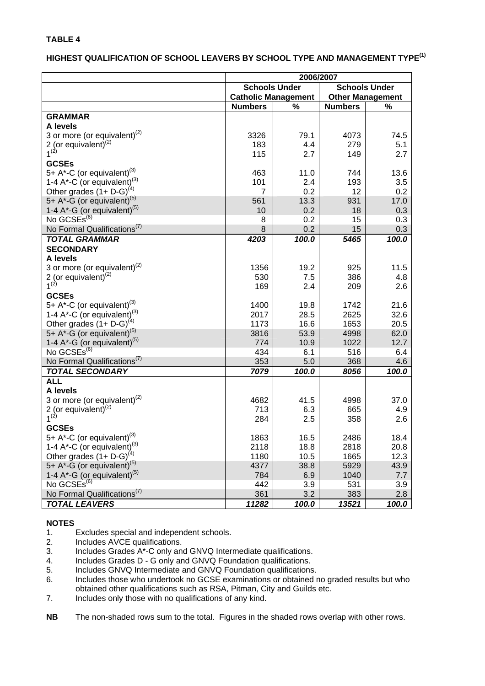#### **HIGHEST QUALIFICATION OF SCHOOL LEAVERS BY SCHOOL TYPE AND MANAGEMENT TYPE(1)**

|                                                                                           | 2006/2007                                    |             |                         |             |  |  |
|-------------------------------------------------------------------------------------------|----------------------------------------------|-------------|-------------------------|-------------|--|--|
|                                                                                           | <b>Schools Under</b><br><b>Schools Under</b> |             |                         |             |  |  |
|                                                                                           | <b>Catholic Management</b>                   |             | <b>Other Management</b> |             |  |  |
|                                                                                           | <b>Numbers</b>                               | %           | <b>Numbers</b>          | %           |  |  |
| <b>GRAMMAR</b>                                                                            |                                              |             |                         |             |  |  |
| A levels                                                                                  |                                              |             |                         |             |  |  |
| 3 or more (or equivalent) $^{(2)}$                                                        | 3326                                         | 79.1        | 4073                    | 74.5        |  |  |
| 2 (or equivalent) $^{(2)}$                                                                | 183                                          | 4.4         | 279                     | 5.1         |  |  |
| $1^{(2)}$                                                                                 | 115                                          | 2.7         | 149                     | 2.7         |  |  |
| <b>GCSEs</b>                                                                              |                                              |             |                         |             |  |  |
| 5+ A*-C (or equivalent) <sup>(3)</sup>                                                    | 463                                          | 11.0        | 744                     | 13.6        |  |  |
| 1-4 A*-C (or equivalent) <sup>(3)</sup>                                                   | 101                                          | 2.4         | 193                     | 3.5         |  |  |
| Other grades $(1 + D - G)^{(4)}$<br>5+ A*-G (or equivalent) <sup>(5)</sup>                | $\overline{7}$                               | 0.2         | 12                      | 0.2         |  |  |
| 1-4 $A^*$ -G (or equivalent) <sup>(5)</sup>                                               | 561<br>10                                    | 13.3<br>0.2 | 931<br>18               | 17.0<br>0.3 |  |  |
| No GCSEs <sup>(6)</sup>                                                                   | 8                                            | 0.2         | 15                      | 0.3         |  |  |
| No Formal Qualifications <sup>(7)</sup>                                                   | 8                                            | 0.2         | 15                      | 0.3         |  |  |
| <b>TOTAL GRAMMAR</b>                                                                      | 4203                                         | 100.0       | 5465                    | 100.0       |  |  |
| <b>SECONDARY</b>                                                                          |                                              |             |                         |             |  |  |
| A levels                                                                                  |                                              |             |                         |             |  |  |
| 3 or more (or equivalent) $(2)$                                                           | 1356                                         | 19.2        | 925                     | 11.5        |  |  |
| 2 (or equivalent) $(2)$                                                                   | 530                                          | 7.5         | 386                     | 4.8         |  |  |
| $1^{(2)}$                                                                                 | 169                                          | 2.4         | 209                     | 2.6         |  |  |
| <b>GCSEs</b>                                                                              |                                              |             |                         |             |  |  |
| 5+ A*-C (or equivalent) <sup>(3)</sup>                                                    | 1400                                         | 19.8        | 1742                    | 21.6        |  |  |
| 1-4 A*-C (or equivalent) <sup>(3)</sup>                                                   | 2017                                         | 28.5        | 2625                    | 32.6        |  |  |
| Other grades $(1 + D - G)^{(4)}$                                                          | 1173                                         | 16.6        | 1653                    | 20.5        |  |  |
| 5+ A*-G (or equivalent) <sup>(5)</sup>                                                    | 3816                                         | 53.9        | 4998                    | 62.0        |  |  |
| 1-4 $A^*$ -G (or equivalent) <sup>(5)</sup>                                               | 774                                          | 10.9        | 1022                    | 12.7        |  |  |
| No GCSEs <sup>(6)</sup>                                                                   | 434                                          | 6.1         | 516                     | 6.4         |  |  |
| No Formal Qualifications <sup>(7)</sup>                                                   | 353                                          | 5.0         | 368                     | 4.6         |  |  |
| <b>TOTAL SECONDARY</b>                                                                    | 7079                                         | 100.0       | 8056                    | 100.0       |  |  |
| <b>ALL</b>                                                                                |                                              |             |                         |             |  |  |
| A levels                                                                                  |                                              |             |                         |             |  |  |
| 3 or more (or equivalent) <sup>(2)</sup>                                                  | 4682                                         | 41.5        | 4998                    | 37.0        |  |  |
| 2 (or equivalent) $(2)$                                                                   | 713                                          | 6.3         | 665                     | 4.9         |  |  |
| $1^{(2)}$                                                                                 | 284                                          | 2.5         | 358                     | 2.6         |  |  |
| <b>GCSEs</b>                                                                              |                                              |             |                         |             |  |  |
| 5+ A*-C (or equivalent) <sup>(3)</sup>                                                    | 1863                                         | 16.5        | 2486                    | 18.4        |  |  |
| 1-4 $A^*$ -C (or equivalent) <sup>(3)</sup>                                               | 2118                                         | 18.8        | 2818                    | 20.8        |  |  |
| Other grades $(1 + D - G)^{(4)}$                                                          | 1180                                         | 10.5        | 1665                    | 12.3        |  |  |
| 5+ $A^*$ -G (or equivalent) <sup>(5)</sup><br>1-4 $A^*$ -G (or equivalent) <sup>(5)</sup> | 4377                                         | 38.8        | 5929                    | 43.9        |  |  |
| No GCSEs <sup>(6)</sup>                                                                   | 784<br>442                                   | 6.9<br>3.9  | 1040<br>531             | 7.7         |  |  |
| No Formal Qualifications <sup>(7)</sup>                                                   | 361                                          | 3.2         | 383                     | 3.9<br>2.8  |  |  |
| <b>TOTAL LEAVERS</b>                                                                      |                                              | 100.0       |                         |             |  |  |
|                                                                                           | 11282                                        |             | 13521                   | 100.0       |  |  |

- 1. Excludes special and independent schools.
- 2. Includes AVCE qualifications.
- 3. Includes Grades A\*-C only and GNVQ Intermediate qualifications.
- 4. Includes Grades D G only and GNVQ Foundation qualifications.<br>5. Includes GNVQ Intermediate and GNVQ Foundation qualifications
- 5. Includes GNVQ Intermediate and GNVQ Foundation qualifications.<br>6. Includes those who undertook no GCSE examinations or obtained in
- 6. Includes those who undertook no GCSE examinations or obtained no graded results but who obtained other qualifications such as RSA, Pitman, City and Guilds etc.
- 7. Includes only those with no qualifications of any kind.
- **NB** The non-shaded rows sum to the total. Figures in the shaded rows overlap with other rows.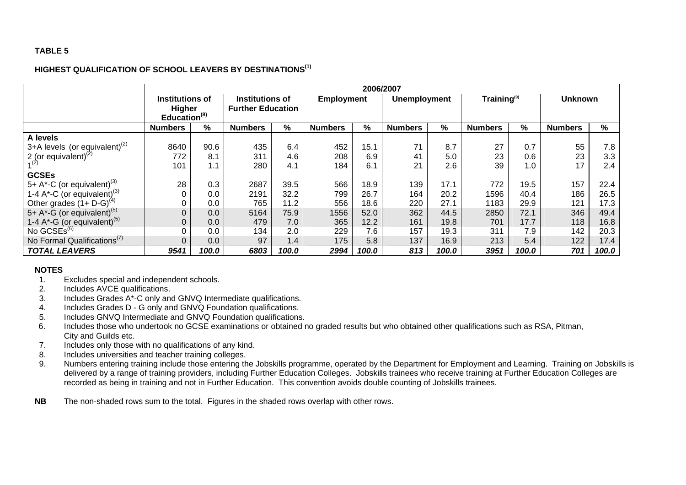#### **HIGHEST QUALIFICATION OF SCHOOL LEAVERS BY DESTINATIONS(1)**

|                                                      | 2006/2007                                                    |       |                |                                                                         |                |                                                                  |                |       |                |       |                |       |
|------------------------------------------------------|--------------------------------------------------------------|-------|----------------|-------------------------------------------------------------------------|----------------|------------------------------------------------------------------|----------------|-------|----------------|-------|----------------|-------|
|                                                      | <b>Institutions of</b><br>Higher<br>Education <sup>(8)</sup> |       |                | <b>Institutions of</b><br><b>Employment</b><br><b>Further Education</b> |                | Training <sup>(9)</sup><br><b>Unknown</b><br><b>Unemployment</b> |                |       |                |       |                |       |
|                                                      | <b>Numbers</b>                                               | %     | <b>Numbers</b> | %                                                                       | <b>Numbers</b> | %                                                                | <b>Numbers</b> | %     | <b>Numbers</b> | %     | <b>Numbers</b> | %     |
| A levels                                             |                                                              |       |                |                                                                         |                |                                                                  |                |       |                |       |                |       |
| 3+A levels (or equivalent) <sup>(2)</sup>            | 8640                                                         | 90.6  | 435            | 6.4                                                                     | 452            | 15.1                                                             | 71             | 8.7   | 27             | 0.7   | 55             | 7.8   |
| 2 (or equivalent) $^{(2)}$                           | 772                                                          | 8.1   | 311            | 4.6                                                                     | 208            | 6.9                                                              | 41             | 5.0   | 23             | 0.6   | 23             | 3.3   |
| (2)                                                  | 101                                                          | 1.1   | 280            | 4.1                                                                     | 184            | 6.1                                                              | 21             | 2.6   | 39             | 1.0   | 17             | 2.4   |
| <b>GCSEs</b>                                         |                                                              |       |                |                                                                         |                |                                                                  |                |       |                |       |                |       |
| 5+ A*-C (or equivalent) <sup>(3)</sup>               | 28                                                           | 0.3   | 2687           | 39.5                                                                    | 566            | 18.9                                                             | 139            | 17.1  | 772            | 19.5  | 157            | 22.4  |
| 1-4 A <sup>*</sup> -C (or equivalent) <sup>(3)</sup> |                                                              | 0.0   | 2191           | 32.2                                                                    | 799            | 26.7                                                             | 164            | 20.2  | 1596           | 40.4  | 186            | 26.5  |
| Other grades $(1 + D - G)^{(4)}$                     |                                                              | 0.0   | 765            | 11.2                                                                    | 556            | 18.6                                                             | 220            | 27.1  | 1183           | 29.9  | 121            | 17.3  |
| 5+ $A^*$ -G (or equivalent) <sup>(5)</sup>           |                                                              | 0.0   | 5164           | 75.9                                                                    | 1556           | 52.0                                                             | 362            | 44.5  | 2850           | 72.1  | 346            | 49.4  |
| 1-4 $A^*$ -G (or equivalent) <sup>(5)</sup>          | 0                                                            | 0.0   | 479            | 7.0                                                                     | 365            | 12.2                                                             | 161            | 19.8  | 701            | 17.7  | 118            | 16.8  |
| No $GCSEs^{(6)}$                                     |                                                              | 0.0   | 134            | 2.0                                                                     | 229            | 7.6                                                              | 157            | 19.3  | 311            | 7.9   | 142            | 20.3  |
| No Formal Qualifications <sup>(7)</sup>              |                                                              | 0.0   | 97             | 1.4                                                                     | 175            | 5.8                                                              | 137            | 16.9  | 213            | 5.4   | 122            | 17.4  |
| <b>TOTAL LEAVERS</b>                                 | 9541                                                         | 100.0 | 6803           | 100.0                                                                   | 2994           | 100.0                                                            | 813            | 100.0 | 3951           | 100.0 | 701            | 100.0 |

- 1. Excludes special and independent schools.
- 2. Includes AVCE qualifications.
- 3. Includes Grades A\*-C only and GNVQ Intermediate qualifications.
- 4. Includes Grades D G only and GNVQ Foundation qualifications.
- 5. Includes GNVQ Intermediate and GNVQ Foundation qualifications.
- 6. Includes those who undertook no GCSE examinations or obtained no graded results but who obtained other qualifications such as RSA, Pitman, City and Guilds etc.
- 7. Includes only those with no qualifications of any kind.
- 8. Includes universities and teacher training colleges.
- 9. Numbers entering training include those entering the Jobskills programme, operated by the Department for Employment and Learning. Training on Jobskills is delivered by a range of training providers, including Further Education Colleges. Jobskills trainees who receive training at Further Education Colleges are recorded as being in training and not in Further Education. This convention avoids double counting of Jobskills trainees.
- **NB**The non-shaded rows sum to the total. Figures in the shaded rows overlap with other rows.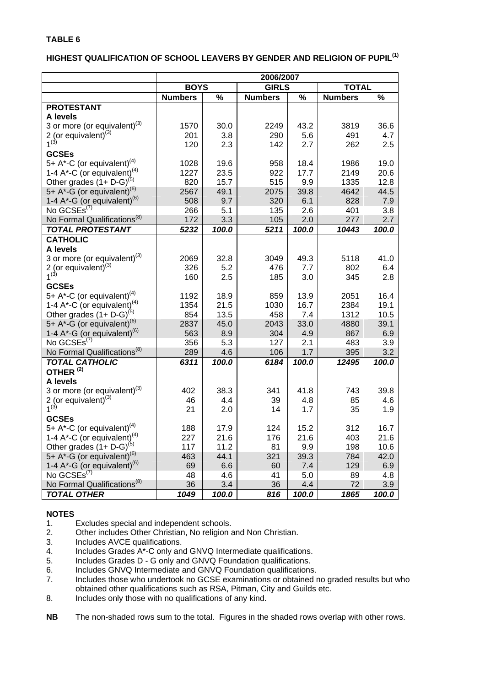## **HIGHEST QUALIFICATION OF SCHOOL LEAVERS BY GENDER AND RELIGION OF PUPIL(1)**

|                                                                                              | 2006/2007      |       |                |       |                |       |  |
|----------------------------------------------------------------------------------------------|----------------|-------|----------------|-------|----------------|-------|--|
|                                                                                              | <b>BOYS</b>    |       | <b>GIRLS</b>   |       | <b>TOTAL</b>   |       |  |
|                                                                                              | <b>Numbers</b> | %     | <b>Numbers</b> | %     | <b>Numbers</b> | $\%$  |  |
| <b>PROTESTANT</b>                                                                            |                |       |                |       |                |       |  |
| A levels                                                                                     |                |       |                |       |                |       |  |
| 3 or more (or equivalent) <sup>(3)</sup>                                                     | 1570           | 30.0  | 2249           | 43.2  | 3819           | 36.6  |  |
| $2$ (or equivalent) <sup>(3)</sup>                                                           | 201            | 3.8   | 290            | 5.6   | 491            | 4.7   |  |
| $1^{(3)}$                                                                                    | 120            | 2.3   | 142            | 2.7   | 262            | 2.5   |  |
| <b>GCSEs</b>                                                                                 |                |       |                |       |                |       |  |
| 5+ A*-C (or equivalent) <sup>(4)</sup>                                                       | 1028           | 19.6  | 958            | 18.4  | 1986           | 19.0  |  |
| 1-4 A*-C (or equivalent) <sup>(4)</sup>                                                      | 1227           | 23.5  | 922            | 17.7  | 2149           | 20.6  |  |
| Other grades $(1 + D - G)^{(5)}$                                                             | 820            | 15.7  | 515            | 9.9   | 1335           | 12.8  |  |
| 5+ $A^*$ -G (or equivalent) <sup>(6)</sup>                                                   | 2567           | 49.1  | 2075           | 39.8  | 4642           | 44.5  |  |
| 1-4 A*-G (or equivalent) <sup>(6)</sup>                                                      | 508            | 9.7   | 320            | 6.1   | 828            | 7.9   |  |
| No GCSEs <sup>(7)</sup>                                                                      | 266            | 5.1   | 135            | 2.6   | 401            | 3.8   |  |
| No Formal Qualifications <sup>(8)</sup>                                                      | 172            | 3.3   | 105            | 2.0   | 277            | 2.7   |  |
| <b>TOTAL PROTESTANT</b>                                                                      | 5232           | 100.0 | 5211           | 100.0 | 10443          | 100.0 |  |
| <b>CATHOLIC</b>                                                                              |                |       |                |       |                |       |  |
| A levels                                                                                     |                |       |                |       |                |       |  |
| 3 or more (or equivalent) <sup>(3)</sup>                                                     | 2069           | 32.8  | 3049           | 49.3  | 5118           | 41.0  |  |
| 2 (or equivalent) $(3)$                                                                      | 326            | 5.2   | 476            | 7.7   | 802            | 6.4   |  |
| $1^{(3)}$                                                                                    | 160            | 2.5   | 185            | 3.0   | 345            | 2.8   |  |
| <b>GCSEs</b>                                                                                 |                |       |                |       |                |       |  |
| 5+ A*-C (or equivalent) <sup>(4)</sup>                                                       | 1192           | 18.9  | 859            | 13.9  | 2051           | 16.4  |  |
|                                                                                              | 1354           | 21.5  | 1030           | 16.7  | 2384           | 19.1  |  |
| 1-4 A <sup>*</sup> -C (or equivalent) <sup>(4)</sup><br>Other grades (1+ D-G) <sup>(5)</sup> | 854            | 13.5  | 458            | 7.4   | 1312           | 10.5  |  |
| 5+ $A^*$ -G (or equivalent) <sup>(6)</sup>                                                   | 2837           | 45.0  | 2043           | 33.0  | 4880           | 39.1  |  |
| 1-4 A*-G (or equivalent) <sup>(6)</sup>                                                      | 563            | 8.9   | 304            | 4.9   | 867            | 6.9   |  |
| No GCSEs <sup>(7)</sup>                                                                      | 356            | 5.3   | 127            | 2.1   | 483            | 3.9   |  |
| No Formal Qualifications <sup>(8)</sup>                                                      | 289            | 4.6   | 106            | 1.7   | 395            | 3.2   |  |
| <b>TOTAL CATHOLIC</b>                                                                        | 6311           | 100.0 | 6184           | 100.0 | 12495          | 100.0 |  |
| OTHER <sup>(2)</sup>                                                                         |                |       |                |       |                |       |  |
| A levels                                                                                     |                |       |                |       |                |       |  |
| 3 or more (or equivalent) $(3)$                                                              | 402            | 38.3  | 341            | 41.8  | 743            | 39.8  |  |
| 2 (or equivalent) $^{(3)}$                                                                   | 46             | 4.4   | 39             | 4.8   | 85             | 4.6   |  |
| $1^{(3)}$                                                                                    | 21             | 2.0   | 14             | 1.7   | 35             | 1.9   |  |
| <b>GCSEs</b>                                                                                 |                |       |                |       |                |       |  |
| 5+ A*-C (or equivalent) <sup>(4)</sup>                                                       | 188            | 17.9  | 124            | 15.2  | 312            | 16.7  |  |
| 1-4 A*-C (or equivalent) <sup>(4)</sup>                                                      | 227            | 21.6  | 176            | 21.6  | 403            | 21.6  |  |
| Other grades $(1 + D - G)^{(5)}$                                                             | 117            | 11.2  | 81             | 9.9   | 198            | 10.6  |  |
| 5+ A*-G (or equivalent) <sup>(6)</sup>                                                       | 463            | 44.1  | 321            | 39.3  | 784            | 42.0  |  |
| 1-4 $A^*$ -G (or equivalent) <sup>(6)</sup>                                                  | 69             | 6.6   | 60             | 7.4   | 129            | 6.9   |  |
| No GCSEs <sup>(7)</sup>                                                                      | 48             | 4.6   | 41             | 5.0   | 89             | 4.8   |  |
| No Formal Qualifications <sup>(8)</sup>                                                      | 36             | 3.4   | 36             | 4.4   | 72             | 3.9   |  |
| <b>TOTAL OTHER</b>                                                                           | 1049           | 100.0 | 816            | 100.0 | 1865           | 100.0 |  |

- 1. Excludes special and independent schools.
- 2. Other includes Other Christian, No religion and Non Christian.
- 3. Includes AVCE qualifications.
- 4. Includes Grades A\*-C only and GNVQ Intermediate qualifications.
- 5. Includes Grades D G only and GNVQ Foundation qualifications.
- 6. Includes GNVQ Intermediate and GNVQ Foundation qualifications.<br>7. Includes those who undertook no GCSE examinations or obtained in
- Includes those who undertook no GCSE examinations or obtained no graded results but who obtained other qualifications such as RSA, Pitman, City and Guilds etc.
- 8. Includes only those with no qualifications of any kind.
- **NB** The non-shaded rows sum to the total. Figures in the shaded rows overlap with other rows.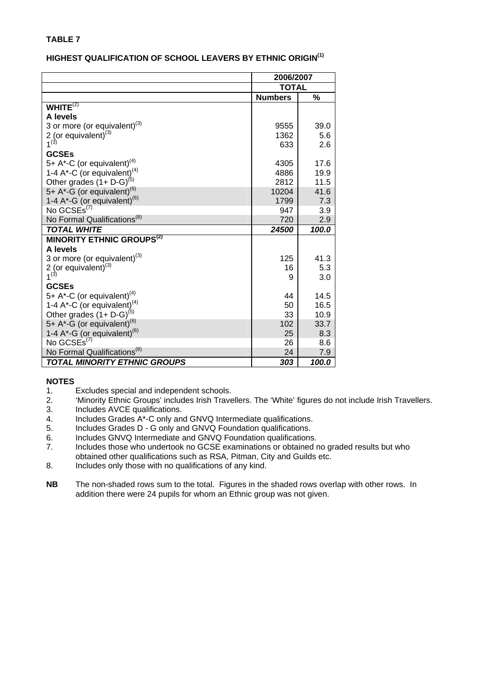#### **HIGHEST QUALIFICATION OF SCHOOL LEAVERS BY ETHNIC ORIGIN(1)**

|                                                                                 | 2006/2007      |       |
|---------------------------------------------------------------------------------|----------------|-------|
|                                                                                 | <b>TOTAL</b>   |       |
|                                                                                 | <b>Numbers</b> | %     |
| WHITE $(2)$                                                                     |                |       |
| A levels                                                                        |                |       |
| 3 or more (or equivalent) <sup>(3)</sup>                                        | 9555           | 39.0  |
| 2 (or equivalent) $^{(3)}$                                                      | 1362           | 5.6   |
| $1^{(3)}$                                                                       | 633            | 2.6   |
| <b>GCSEs</b>                                                                    |                |       |
| 5+ A*-C (or equivalent) <sup>(4)</sup>                                          | 4305           | 17.6  |
|                                                                                 | 4886           | 19.9  |
| 1-4 A*-C (or equivalent) <sup>(4)</sup><br>Other grades $(1+ D-G)^{(5)}$        | 2812           | 11.5  |
| 5+ A*-G (or equivalent) <sup>(6)</sup>                                          | 10204          | 41.6  |
| 1-4 A*-G (or equivalent) <sup>(6)</sup>                                         | 1799           | 7.3   |
| No GCSEs <sup>(7)</sup>                                                         | 947            | 3.9   |
| No Formal Qualifications <sup>(8)</sup>                                         | 720            | 2.9   |
| <b>TOTAL WHITE</b>                                                              | 24500          | 100.0 |
| <b>MINORITY ETHNIC GROUPS<sup>(2)</sup></b>                                     |                |       |
| A levels                                                                        |                |       |
| 3 or more (or equivalent) $(3)$                                                 | 125            | 41.3  |
| 2 (or equivalent) $^{(3)}$                                                      | 16             | 5.3   |
| $1^{(3)}$                                                                       | 9              | 3.0   |
| <b>GCSEs</b>                                                                    |                |       |
| 5+ A*-C (or equivalent) <sup>(4)</sup>                                          | 44             | 14.5  |
| 1-4 A*-C (or equivalent) <sup>(4)</sup><br>Other grades (1+ D-G) <sup>(5)</sup> | 50             | 16.5  |
|                                                                                 | 33             | 10.9  |
| 5+ A*-G (or equivalent) <sup>(6)</sup>                                          | 102            | 33.7  |
| 1-4 A*-G (or equivalent) <sup>(6)</sup><br>No GCSEs <sup>(7)</sup>              | 25             | 8.3   |
|                                                                                 | 26             | 8.6   |
| No Formal Qualifications <sup>(8)</sup>                                         | 24             | 7.9   |
| <b>TOTAL MINORITY ETHNIC GROUPS</b>                                             | 303            | 100.0 |

- 1. Excludes special and independent schools.
- 2. 'Minority Ethnic Groups' includes Irish Travellers. The 'White' figures do not include Irish Travellers.
- 3. Includes AVCE qualifications.
- 4. Includes Grades A\*-C only and GNVQ Intermediate qualifications.
- 5. Includes Grades D G only and GNVQ Foundation qualifications.
- 6. Includes GNVQ Intermediate and GNVQ Foundation qualifications.
- 7. Includes those who undertook no GCSE examinations or obtained no graded results but who obtained other qualifications such as RSA, Pitman, City and Guilds etc.
- 8. Includes only those with no qualifications of any kind.
- **NB** The non-shaded rows sum to the total. Figures in the shaded rows overlap with other rows. In addition there were 24 pupils for whom an Ethnic group was not given.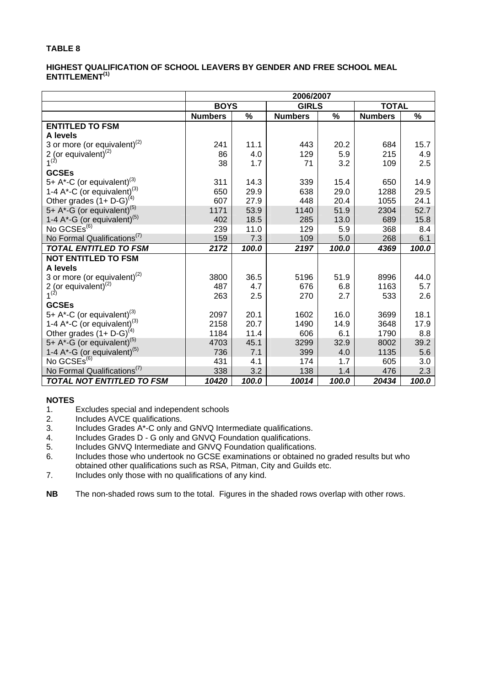#### **HIGHEST QUALIFICATION OF SCHOOL LEAVERS BY GENDER AND FREE SCHOOL MEAL ENTITLEMENT(1)**

|                                                                                              | 2006/2007      |       |                |       |                |       |  |
|----------------------------------------------------------------------------------------------|----------------|-------|----------------|-------|----------------|-------|--|
|                                                                                              | <b>BOYS</b>    |       | <b>GIRLS</b>   |       | <b>TOTAL</b>   |       |  |
|                                                                                              | <b>Numbers</b> | $\%$  | <b>Numbers</b> | $\%$  | <b>Numbers</b> | %     |  |
| <b>ENTITLED TO FSM</b>                                                                       |                |       |                |       |                |       |  |
| A levels                                                                                     |                |       |                |       |                |       |  |
| 3 or more (or equivalent) $^{(2)}$                                                           | 241            | 11.1  | 443            | 20.2  | 684            | 15.7  |  |
| 2 (or equivalent) <sup>(2)</sup><br>$1^{(2)}$                                                | 86             | 4.0   | 129            | 5.9   | 215            | 4.9   |  |
|                                                                                              | 38             | 1.7   | 71             | 3.2   | 109            | 2.5   |  |
| <b>GCSEs</b>                                                                                 |                |       |                |       |                |       |  |
| 5+ A*-C (or equivalent) <sup>(3)</sup>                                                       | 311            | 14.3  | 339            | 15.4  | 650            | 14.9  |  |
|                                                                                              | 650            | 29.9  | 638            | 29.0  | 1288           | 29.5  |  |
| 1-4 A <sup>*</sup> -C (or equivalent) <sup>(3)</sup><br>Other grades (1+ D-G) <sup>(4)</sup> | 607            | 27.9  | 448            | 20.4  | 1055           | 24.1  |  |
| 5+ A*-G (or equivalent) <sup>(5)</sup>                                                       | 1171           | 53.9  | 1140           | 51.9  | 2304           | 52.7  |  |
| 1-4 $A^*$ -G (or equivalent) <sup>(5)</sup>                                                  | 402            | 18.5  | 285            | 13.0  | 689            | 15.8  |  |
| No GCSEs <sup>(6)</sup>                                                                      | 239            | 11.0  | 129            | 5.9   | 368            | 8.4   |  |
| No Formal Qualifications <sup>(7)</sup>                                                      | 159            | 7.3   | 109            | 5.0   | 268            | 6.1   |  |
| <b>TOTAL ENTITLED TO FSM</b>                                                                 | 2172           | 100.0 | 2197           | 100.0 | 4369           | 100.0 |  |
| <b>NOT ENTITLED TO FSM</b>                                                                   |                |       |                |       |                |       |  |
| A levels                                                                                     |                |       |                |       |                |       |  |
| 3 or more (or equivalent) $^{(2)}$                                                           | 3800           | 36.5  | 5196           | 51.9  | 8996           | 44.0  |  |
| 2 (or equivalent) <sup>(2)</sup><br>$1^{(2)}$                                                | 487            | 4.7   | 676            | 6.8   | 1163           | 5.7   |  |
|                                                                                              | 263            | 2.5   | 270            | 2.7   | 533            | 2.6   |  |
| <b>GCSEs</b>                                                                                 |                |       |                |       |                |       |  |
| 5+ A*-C (or equivalent) <sup>(3)</sup>                                                       | 2097           | 20.1  | 1602           | 16.0  | 3699           | 18.1  |  |
| 1-4 A*-C (or equivalent). <sup>(3)</sup>                                                     | 2158           | 20.7  | 1490           | 14.9  | 3648           | 17.9  |  |
| Other grades $(1 + D - G)^{(4)}$                                                             | 1184           | 11.4  | 606            | 6.1   | 1790           | 8.8   |  |
| 5+ A*-G (or equivalent) <sup>(5)</sup>                                                       | 4703           | 45.1  | 3299           | 32.9  | 8002           | 39.2  |  |
| 1-4 $A^*$ -G (or equivalent) <sup>(5)</sup>                                                  | 736            | 7.1   | 399            | 4.0   | 1135           | 5.6   |  |
| No GCSEs <sup>(6)</sup>                                                                      | 431            | 4.1   | 174            | 1.7   | 605            | 3.0   |  |
| No Formal Qualifications <sup>(7)</sup>                                                      | 338            | 3.2   | 138            | 1.4   | 476            | 2.3   |  |
| <b>TOTAL NOT ENTITLED TO FSM</b>                                                             | 10420          | 100.0 | 10014          | 100.0 | 20434          | 100.0 |  |

#### **NOTES**

- 1. Excludes special and independent schools
- 2. Includes AVCE qualifications.<br>3. Includes Grades A\*-C only and
- 3. Includes Grades A\*-C only and GNVQ Intermediate qualifications.<br>4. Includes Grades D G only and GNVQ Foundation qualifications.
- Includes Grades D G only and GNVQ Foundation qualifications.
- 5. Includes GNVQ Intermediate and GNVQ Foundation qualifications.
- 6. Includes those who undertook no GCSE examinations or obtained no graded results but who obtained other qualifications such as RSA, Pitman, City and Guilds etc.
- 7. Includes only those with no qualifications of any kind.

**NB** The non-shaded rows sum to the total. Figures in the shaded rows overlap with other rows.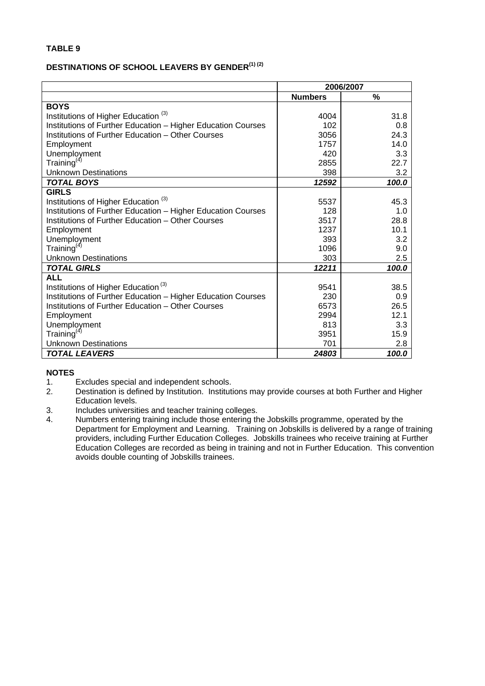#### **DESTINATIONS OF SCHOOL LEAVERS BY GENDER(1) (2)**

|                                                              | 2006/2007      |       |  |
|--------------------------------------------------------------|----------------|-------|--|
|                                                              | <b>Numbers</b> | %     |  |
| <b>BOYS</b>                                                  |                |       |  |
| Institutions of Higher Education <sup>(3)</sup>              | 4004           | 31.8  |  |
| Institutions of Further Education - Higher Education Courses | 102            | 0.8   |  |
| Institutions of Further Education - Other Courses            | 3056           | 24.3  |  |
| Employment                                                   | 1757           | 14.0  |  |
| Unemployment                                                 | 420            | 3.3   |  |
| Training $(4)$                                               | 2855           | 22.7  |  |
| <b>Unknown Destinations</b>                                  | 398            | 3.2   |  |
| <b>TOTAL BOYS</b>                                            | 12592          | 100.0 |  |
| <b>GIRLS</b>                                                 |                |       |  |
| Institutions of Higher Education <sup>(3)</sup>              | 5537           | 45.3  |  |
| Institutions of Further Education - Higher Education Courses | 128            | 1.0   |  |
| Institutions of Further Education - Other Courses            | 3517           | 28.8  |  |
| Employment                                                   | 1237           | 10.1  |  |
| Unemployment                                                 | 393            | 3.2   |  |
| Training <sup>(4)</sup>                                      | 1096           | 9.0   |  |
| <b>Unknown Destinations</b>                                  | 303            | 2.5   |  |
| <b>TOTAL GIRLS</b>                                           | 12211          | 100.0 |  |
| <b>ALL</b>                                                   |                |       |  |
| Institutions of Higher Education <sup>(3)</sup>              | 9541           | 38.5  |  |
| Institutions of Further Education - Higher Education Courses | 230            | 0.9   |  |
| Institutions of Further Education - Other Courses            | 6573           | 26.5  |  |
| Employment                                                   | 2994           | 12.1  |  |
| Unemployment                                                 | 813            | 3.3   |  |
| Training $(4)$                                               | 3951           | 15.9  |  |
| <b>Unknown Destinations</b>                                  | 701            | 2.8   |  |
| <b>TOTAL LEAVERS</b>                                         | 24803          | 100.0 |  |

- 1. Excludes special and independent schools.
- 2. Destination is defined by Institution. Institutions may provide courses at both Further and Higher Education levels.
- 3. Includes universities and teacher training colleges.
- 4. Numbers entering training include those entering the Jobskills programme, operated by the Department for Employment and Learning. Training on Jobskills is delivered by a range of training providers, including Further Education Colleges. Jobskills trainees who receive training at Further Education Colleges are recorded as being in training and not in Further Education. This convention avoids double counting of Jobskills trainees.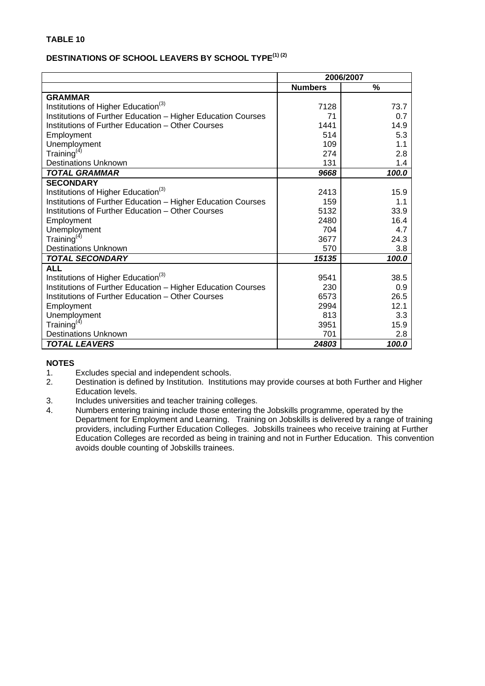# **DESTINATIONS OF SCHOOL LEAVERS BY SCHOOL TYPE(1) (2)**

|                                                              | 2006/2007      |       |  |
|--------------------------------------------------------------|----------------|-------|--|
|                                                              | <b>Numbers</b> | $\%$  |  |
| <b>GRAMMAR</b>                                               |                |       |  |
| Institutions of Higher Education <sup>(3)</sup>              | 7128           | 73.7  |  |
| Institutions of Further Education - Higher Education Courses | 71             | 0.7   |  |
| Institutions of Further Education - Other Courses            | 1441           | 14.9  |  |
| Employment                                                   | 514            | 5.3   |  |
| Unemployment                                                 | 109            | 1.1   |  |
| Training <sup>(4)</sup>                                      | 274            | 2.8   |  |
| <b>Destinations Unknown</b>                                  | 131            | 1.4   |  |
| <b>TOTAL GRAMMAR</b>                                         | 9668           | 100.0 |  |
| <b>SECONDARY</b>                                             |                |       |  |
| Institutions of Higher Education <sup>(3)</sup>              | 2413           | 15.9  |  |
| Institutions of Further Education - Higher Education Courses | 159            | 1.1   |  |
| Institutions of Further Education - Other Courses            | 5132           | 33.9  |  |
| Employment                                                   | 2480           | 16.4  |  |
| Unemployment                                                 | 704            | 4.7   |  |
| Training $(4)$                                               | 3677           | 24.3  |  |
| <b>Destinations Unknown</b>                                  | 570            | 3.8   |  |
| <b>TOTAL SECONDARY</b>                                       | 15135          | 100.0 |  |
| <b>ALL</b>                                                   |                |       |  |
| Institutions of Higher Education <sup>(3)</sup>              | 9541           | 38.5  |  |
| Institutions of Further Education - Higher Education Courses | 230            | 0.9   |  |
| Institutions of Further Education - Other Courses            | 6573           | 26.5  |  |
| Employment                                                   | 2994           | 12.1  |  |
| Unemployment                                                 | 813            | 3.3   |  |
| Training <sup>(4)</sup>                                      | 3951           | 15.9  |  |
| <b>Destinations Unknown</b>                                  | 701            | 2.8   |  |
| <b>TOTAL LEAVERS</b>                                         | 24803          | 100.0 |  |

- 1. Excludes special and independent schools.<br>2. Destination is defined by Institution. Instituti
- 2. Destination is defined by Institution. Institutions may provide courses at both Further and Higher Education levels.
- 3. Includes universities and teacher training colleges.<br>4. Numbers entering training include those entering the
- Numbers entering training include those entering the Jobskills programme, operated by the Department for Employment and Learning. Training on Jobskills is delivered by a range of training providers, including Further Education Colleges. Jobskills trainees who receive training at Further Education Colleges are recorded as being in training and not in Further Education. This convention avoids double counting of Jobskills trainees.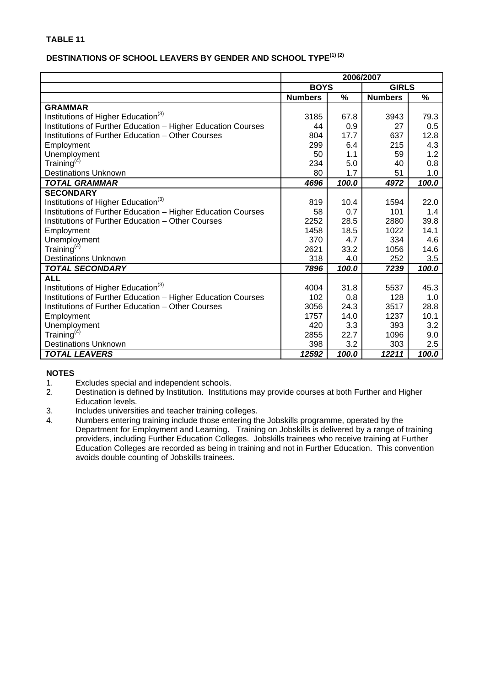# **DESTINATIONS OF SCHOOL LEAVERS BY GENDER AND SCHOOL TYPE(1) (2)**

|                                                              | 2006/2007      |               |                |       |  |
|--------------------------------------------------------------|----------------|---------------|----------------|-------|--|
|                                                              | <b>BOYS</b>    |               | <b>GIRLS</b>   |       |  |
|                                                              | <b>Numbers</b> | $\frac{0}{0}$ | <b>Numbers</b> | %     |  |
| <b>GRAMMAR</b>                                               |                |               |                |       |  |
| Institutions of Higher Education <sup>(3)</sup>              | 3185           | 67.8          | 3943           | 79.3  |  |
| Institutions of Further Education - Higher Education Courses | 44             | 0.9           | 27             | 0.5   |  |
| Institutions of Further Education - Other Courses            | 804            | 17.7          | 637            | 12.8  |  |
| Employment                                                   | 299            | 6.4           | 215            | 4.3   |  |
| Unemployment                                                 | 50             | 1.1           | 59             | 1.2   |  |
| Training $(4)$                                               | 234            | 5.0           | 40             | 0.8   |  |
| <b>Destinations Unknown</b>                                  | 80             | 1.7           | 51             | 1.0   |  |
| <b>TOTAL GRAMMAR</b>                                         | 4696           | 100.0         | 4972           | 100.0 |  |
| <b>SECONDARY</b>                                             |                |               |                |       |  |
| Institutions of Higher Education <sup>(3)</sup>              | 819            | 10.4          | 1594           | 22.0  |  |
| Institutions of Further Education - Higher Education Courses | 58             | 0.7           | 101            | 1.4   |  |
| Institutions of Further Education - Other Courses            | 2252           | 28.5          | 2880           | 39.8  |  |
| Employment                                                   | 1458           | 18.5          | 1022           | 14.1  |  |
| Unemployment                                                 | 370            | 4.7           | 334            | 4.6   |  |
| Training $(4)$                                               | 2621           | 33.2          | 1056           | 14.6  |  |
| <b>Destinations Unknown</b>                                  | 318            | 4.0           | 252            | 3.5   |  |
| <b>TOTAL SECONDARY</b>                                       | 7896           | 100.0         | 7239           | 100.0 |  |
| <b>ALL</b>                                                   |                |               |                |       |  |
| Institutions of Higher Education <sup>(3)</sup>              | 4004           | 31.8          | 5537           | 45.3  |  |
| Institutions of Further Education - Higher Education Courses | 102            | 0.8           | 128            | 1.0   |  |
| Institutions of Further Education – Other Courses            | 3056           | 24.3          | 3517           | 28.8  |  |
| Employment                                                   | 1757           | 14.0          | 1237           | 10.1  |  |
| Unemployment                                                 | 420            | 3.3           | 393            | 3.2   |  |
| Training $(4)$                                               | 2855           | 22.7          | 1096           | 9.0   |  |
| <b>Destinations Unknown</b>                                  | 398            | 3.2           | 303            | 2.5   |  |
| <b>TOTAL LEAVERS</b>                                         | 12592          | 100.0         | 12211          | 100.0 |  |

- 1. Excludes special and independent schools.
- 2. Destination is defined by Institution. Institutions may provide courses at both Further and Higher Education levels.
- 3. Includes universities and teacher training colleges.
- 4. Numbers entering training include those entering the Jobskills programme, operated by the Department for Employment and Learning. Training on Jobskills is delivered by a range of training providers, including Further Education Colleges. Jobskills trainees who receive training at Further Education Colleges are recorded as being in training and not in Further Education. This convention avoids double counting of Jobskills trainees.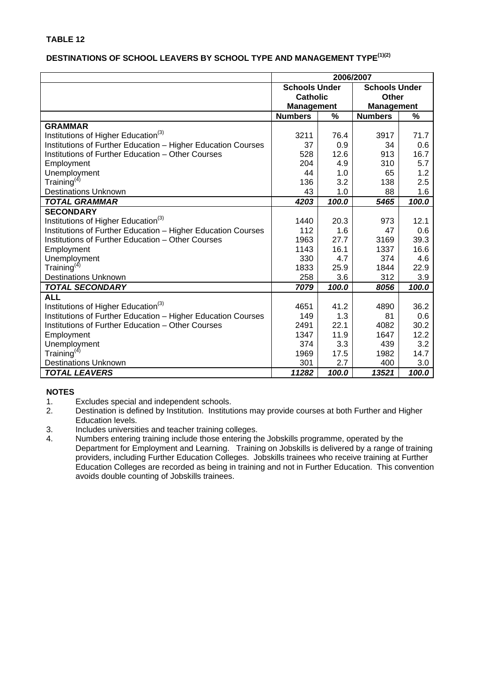## **DESTINATIONS OF SCHOOL LEAVERS BY SCHOOL TYPE AND MANAGEMENT TYPE(1)(2)**

|                                                              | 2006/2007            |       |                      |       |  |
|--------------------------------------------------------------|----------------------|-------|----------------------|-------|--|
|                                                              | <b>Schools Under</b> |       | <b>Schools Under</b> |       |  |
|                                                              | <b>Catholic</b>      |       | Other                |       |  |
|                                                              | <b>Management</b>    |       | <b>Management</b>    |       |  |
|                                                              | <b>Numbers</b>       | %     | <b>Numbers</b>       | %     |  |
| <b>GRAMMAR</b>                                               |                      |       |                      |       |  |
| Institutions of Higher Education <sup>(3)</sup>              | 3211                 | 76.4  | 3917                 | 71.7  |  |
| Institutions of Further Education - Higher Education Courses | 37                   | 0.9   | 34                   | 0.6   |  |
| Institutions of Further Education - Other Courses            | 528                  | 12.6  | 913                  | 16.7  |  |
| Employment                                                   | 204                  | 4.9   | 310                  | 5.7   |  |
| Unemployment                                                 | 44                   | 1.0   | 65                   | 1.2   |  |
| Training <sup>(4)</sup>                                      | 136                  | 3.2   | 138                  | 2.5   |  |
| <b>Destinations Unknown</b>                                  | 43                   | 1.0   | 88                   | 1.6   |  |
| <b>TOTAL GRAMMAR</b>                                         | 4203                 | 100.0 | 5465                 | 100.0 |  |
| <b>SECONDARY</b>                                             |                      |       |                      |       |  |
| Institutions of Higher Education <sup>(3)</sup>              | 1440                 | 20.3  | 973                  | 12.1  |  |
| Institutions of Further Education - Higher Education Courses | 112                  | 1.6   | 47                   | 0.6   |  |
| Institutions of Further Education - Other Courses            | 1963                 | 27.7  | 3169                 | 39.3  |  |
| Employment                                                   | 1143                 | 16.1  | 1337                 | 16.6  |  |
| Unemployment                                                 | 330                  | 4.7   | 374                  | 4.6   |  |
| Training <sup>(4)</sup>                                      | 1833                 | 25.9  | 1844                 | 22.9  |  |
| <b>Destinations Unknown</b>                                  | 258                  | 3.6   | 312                  | 3.9   |  |
| <b>TOTAL SECONDARY</b>                                       | 7079                 | 100.0 | 8056                 | 100.0 |  |
| <b>ALL</b>                                                   |                      |       |                      |       |  |
| Institutions of Higher Education <sup>(3)</sup>              | 4651                 | 41.2  | 4890                 | 36.2  |  |
| Institutions of Further Education - Higher Education Courses | 149                  | 1.3   | 81                   | 0.6   |  |
| Institutions of Further Education – Other Courses            | 2491                 | 22.1  | 4082                 | 30.2  |  |
| Employment                                                   | 1347                 | 11.9  | 1647                 | 12.2  |  |
| Unemployment                                                 | 374                  | 3.3   | 439                  | 3.2   |  |
| Training $(4)$                                               | 1969                 | 17.5  | 1982                 | 14.7  |  |
| <b>Destinations Unknown</b>                                  | 301                  | 2.7   | 400                  | 3.0   |  |
| <b>TOTAL LEAVERS</b>                                         | 11282                | 100.0 | 13521                | 100.0 |  |

- 1. Excludes special and independent schools.<br>2. Destination is defined by Institution. Instituti
- Destination is defined by Institution. Institutions may provide courses at both Further and Higher Education levels.
- 3. Includes universities and teacher training colleges.
- 4. Numbers entering training include those entering the Jobskills programme, operated by the Department for Employment and Learning. Training on Jobskills is delivered by a range of training providers, including Further Education Colleges. Jobskills trainees who receive training at Further Education Colleges are recorded as being in training and not in Further Education. This convention avoids double counting of Jobskills trainees.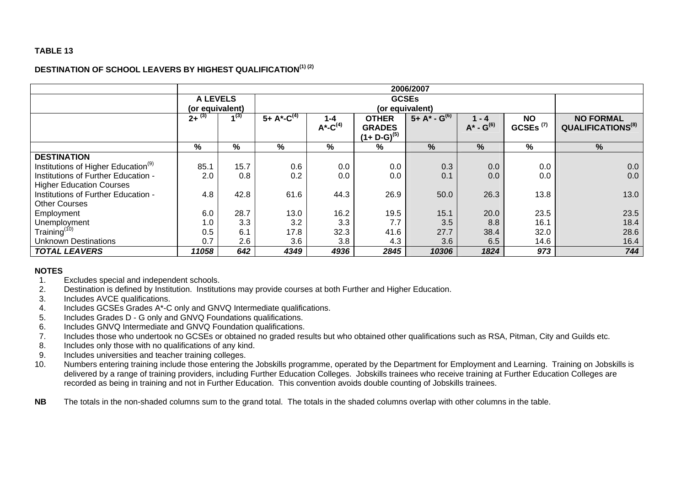#### **DESTINATION OF SCHOOL LEAVERS BY HIGHEST QUALIFICATION(1) (2)**

|                                                 | 2006/2007                          |      |                      |                                    |                                                  |                     |                            |                          |                                                   |
|-------------------------------------------------|------------------------------------|------|----------------------|------------------------------------|--------------------------------------------------|---------------------|----------------------------|--------------------------|---------------------------------------------------|
|                                                 | <b>A LEVELS</b><br>(or equivalent) |      |                      | <b>GCSEs</b><br>(or equivalent)    |                                                  |                     |                            |                          |                                                   |
|                                                 | $2+^{(3)}$                         | 7(3) | 5+ $A^*$ - $C^{(4)}$ | $1 - 4$<br>$A^*$ -C <sup>(4)</sup> | <b>OTHER</b><br><b>GRADES</b><br>$(1+D-G)^{(5)}$ | $5 + A^* - G^{(6)}$ | $1 - 4$<br>$A^* - G^{(6)}$ | <b>NO</b><br>GCSEs $(7)$ | <b>NO FORMAL</b><br>QUALIFICATIONS <sup>(8)</sup> |
|                                                 | $\%$                               | %    | %                    | %                                  | $\%$                                             | $\%$                | $\frac{9}{6}$              | %                        | %                                                 |
| <b>DESTINATION</b>                              |                                    |      |                      |                                    |                                                  |                     |                            |                          |                                                   |
| Institutions of Higher Education <sup>(9)</sup> | 85.1                               | 15.7 | 0.6                  | 0.0                                | 0.0                                              | 0.3                 | 0.0                        | 0.0                      | 0.0                                               |
| Institutions of Further Education -             | 2.0                                | 0.8  | 0.2                  | 0.0                                | 0.0                                              | 0.1                 | 0.0                        | 0.0                      | 0.0                                               |
| <b>Higher Education Courses</b>                 |                                    |      |                      |                                    |                                                  |                     |                            |                          |                                                   |
| Institutions of Further Education -             | 4.8                                | 42.8 | 61.6                 | 44.3                               | 26.9                                             | 50.0                | 26.3                       | 13.8                     | 13.0                                              |
| <b>Other Courses</b>                            |                                    |      |                      |                                    |                                                  |                     |                            |                          |                                                   |
| Employment                                      | 6.0                                | 28.7 | 13.0                 | 16.2                               | 19.5                                             | 15.1                | 20.0                       | 23.5                     | 23.5                                              |
| Unemployment                                    | 1.0                                | 3.3  | 3.2                  | 3.3                                | 7.7                                              | 3.5                 | 8.8                        | 16.1                     | 18.4                                              |
| Training <sup>(10)</sup>                        | 0.5                                | 6.1  | 17.8                 | 32.3                               | 41.6                                             | 27.7                | 38.4                       | 32.0                     | 28.6                                              |
| <b>Unknown Destinations</b>                     | 0.7                                | 2.6  | 3.6                  | 3.8                                | 4.3                                              | 3.6                 | 6.5                        | 14.6                     | 16.4                                              |
| <b>TOTAL LEAVERS</b>                            | 11058                              | 642  | 4349                 | 4936                               | 2845                                             | 10306               | 1824                       | 973                      | 744                                               |

- 1. Excludes special and independent schools.
- 2. Destination is defined by Institution. Institutions may provide courses at both Further and Higher Education.
- 3. Includes AVCE qualifications.
- 4. Includes GCSEs Grades A\*-C only and GNVQ Intermediate qualifications.
- 5. Includes Grades D G only and GNVQ Foundations qualifications.
- 6. Includes GNVQ Intermediate and GNVQ Foundation qualifications.
- 7. Includes those who undertook no GCSEs or obtained no graded results but who obtained other qualifications such as RSA, Pitman, City and Guilds etc.
- 8. Includes only those with no qualifications of any kind.
- 9. Includes universities and teacher training colleges.
- 10. Numbers entering training include those entering the Jobskills programme, operated by the Department for Employment and Learning. Training on Jobskills is delivered by a range of training providers, including Further Education Colleges. Jobskills trainees who receive training at Further Education Colleges are recorded as being in training and not in Further Education. This convention avoids double counting of Jobskills trainees.
- **NB**The totals in the non-shaded columns sum to the grand total. The totals in the shaded columns overlap with other columns in the table.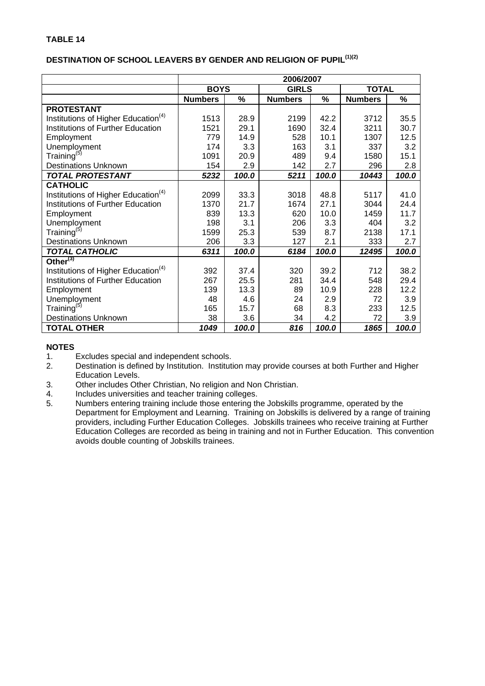# **DESTINATION OF SCHOOL LEAVERS BY GENDER AND RELIGION OF PUPIL(1)(2)**

|                                                 | 2006/2007      |       |                |       |                |       |  |
|-------------------------------------------------|----------------|-------|----------------|-------|----------------|-------|--|
|                                                 | <b>BOYS</b>    |       | <b>GIRLS</b>   |       | <b>TOTAL</b>   |       |  |
|                                                 | <b>Numbers</b> | $\%$  | <b>Numbers</b> | %     | <b>Numbers</b> | %     |  |
| <b>PROTESTANT</b>                               |                |       |                |       |                |       |  |
| Institutions of Higher Education <sup>(4)</sup> | 1513           | 28.9  | 2199           | 42.2  | 3712           | 35.5  |  |
| <b>Institutions of Further Education</b>        | 1521           | 29.1  | 1690           | 32.4  | 3211           | 30.7  |  |
| Employment                                      | 779            | 14.9  | 528            | 10.1  | 1307           | 12.5  |  |
| Unemployment                                    | 174            | 3.3   | 163            | 3.1   | 337            | 3.2   |  |
| Training <sup>(5)</sup>                         | 1091           | 20.9  | 489            | 9.4   | 1580           | 15.1  |  |
| <b>Destinations Unknown</b>                     | 154            | 2.9   | 142            | 2.7   | 296            | 2.8   |  |
| <b>TOTAL PROTESTANT</b>                         | 5232           | 100.0 | 5211           | 100.0 | 10443          | 100.0 |  |
| <b>CATHOLIC</b>                                 |                |       |                |       |                |       |  |
| Institutions of Higher Education <sup>(4)</sup> | 2099           | 33.3  | 3018           | 48.8  | 5117           | 41.0  |  |
| <b>Institutions of Further Education</b>        | 1370           | 21.7  | 1674           | 27.1  | 3044           | 24.4  |  |
| Employment                                      | 839            | 13.3  | 620            | 10.0  | 1459           | 11.7  |  |
| Unemployment                                    | 198            | 3.1   | 206            | 3.3   | 404            | 3.2   |  |
| Training <sup>(5)</sup>                         | 1599           | 25.3  | 539            | 8.7   | 2138           | 17.1  |  |
| <b>Destinations Unknown</b>                     | 206            | 3.3   | 127            | 2.1   | 333            | 2.7   |  |
| <b>TOTAL CATHOLIC</b>                           | 6311           | 100.0 | 6184           | 100.0 | 12495          | 100.0 |  |
| Other $(3)$                                     |                |       |                |       |                |       |  |
| Institutions of Higher Education <sup>(4)</sup> | 392            | 37.4  | 320            | 39.2  | 712            | 38.2  |  |
| <b>Institutions of Further Education</b>        | 267            | 25.5  | 281            | 34.4  | 548            | 29.4  |  |
| Employment                                      | 139            | 13.3  | 89             | 10.9  | 228            | 12.2  |  |
| Unemployment                                    | 48             | 4.6   | 24             | 2.9   | 72             | 3.9   |  |
| Training <sup>(5)</sup>                         | 165            | 15.7  | 68             | 8.3   | 233            | 12.5  |  |
| <b>Destinations Unknown</b>                     | 38             | 3.6   | 34             | 4.2   | 72             | 3.9   |  |
| <b>TOTAL OTHER</b>                              | 1049           | 100.0 | 816            | 100.0 | 1865           | 100.0 |  |

- 1. Excludes special and independent schools.
- 2. Destination is defined by Institution. Institution may provide courses at both Further and Higher Education Levels.
- 3. Other includes Other Christian, No religion and Non Christian.
- 4. Includes universities and teacher training colleges.
- 5. Numbers entering training include those entering the Jobskills programme, operated by the Department for Employment and Learning. Training on Jobskills is delivered by a range of training providers, including Further Education Colleges. Jobskills trainees who receive training at Further Education Colleges are recorded as being in training and not in Further Education. This convention avoids double counting of Jobskills trainees.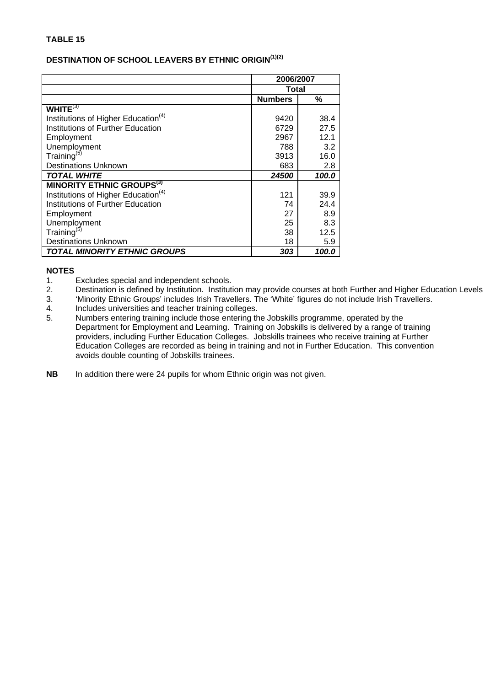# **DESTINATION OF SCHOOL LEAVERS BY ETHNIC ORIGIN(1)(2)**

|                                                 | 2006/2007      |       |  |
|-------------------------------------------------|----------------|-------|--|
|                                                 | Total          |       |  |
|                                                 | <b>Numbers</b> | %     |  |
| WHITE $(3)$                                     |                |       |  |
| Institutions of Higher Education <sup>(4)</sup> | 9420           | 38.4  |  |
| Institutions of Further Education               | 6729           | 27.5  |  |
| Employment                                      | 2967           | 12.1  |  |
| Unemployment                                    | 788            | 3.2   |  |
| Training <sup>(5)</sup>                         | 3913           | 16.0  |  |
| <b>Destinations Unknown</b>                     | 683            | 2.8   |  |
| <b>TOTAL WHITE</b>                              | 24500          | 100.0 |  |
| <b>MINORITY ETHNIC GROUPS<sup>(3)</sup></b>     |                |       |  |
| Institutions of Higher Education <sup>(4)</sup> | 121            | 39.9  |  |
| Institutions of Further Education               | 74             | 24.4  |  |
| Employment                                      | 27             | 8.9   |  |
| Unemployment                                    | 25             | 8.3   |  |
| Training <sup>(5)</sup>                         | 38             | 12.5  |  |
| <b>Destinations Unknown</b>                     | 18             | 5.9   |  |
| <b>TOTAL MINORITY ETHNIC GROUPS</b>             | 303            | 100.0 |  |

- 1. Excludes special and independent schools.
- 2. Destination is defined by Institution. Institution may provide courses at both Further and Higher Education Levels<br>3. Minority Ethnic Groups' includes Irish Travellers. The 'White' figures do not include Irish Traveller
- 'Minority Ethnic Groups' includes Irish Travellers. The 'White' figures do not include Irish Travellers.
- 4. Includes universities and teacher training colleges.
- 5. Numbers entering training include those entering the Jobskills programme, operated by the Department for Employment and Learning. Training on Jobskills is delivered by a range of training providers, including Further Education Colleges. Jobskills trainees who receive training at Further Education Colleges are recorded as being in training and not in Further Education. This convention avoids double counting of Jobskills trainees.
- **NB** In addition there were 24 pupils for whom Ethnic origin was not given.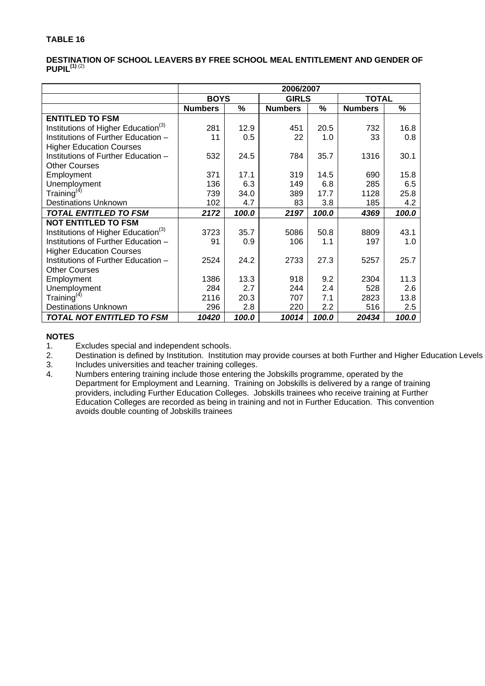#### **DESTINATION OF SCHOOL LEAVERS BY FREE SCHOOL MEAL ENTITLEMENT AND GENDER OF PUPIL(1)** (2)

|                                                 | 2006/2007      |       |                |       |                |       |
|-------------------------------------------------|----------------|-------|----------------|-------|----------------|-------|
|                                                 | <b>BOYS</b>    |       | <b>GIRLS</b>   |       | <b>TOTAL</b>   |       |
|                                                 | <b>Numbers</b> | %     | <b>Numbers</b> | %     | <b>Numbers</b> | %     |
| <b>ENTITLED TO FSM</b>                          |                |       |                |       |                |       |
| Institutions of Higher Education <sup>(3)</sup> | 281            | 12.9  | 451            | 20.5  | 732            | 16.8  |
| Institutions of Further Education -             | 11             | 0.5   | 22             | 1.0   | 33             | 0.8   |
| <b>Higher Education Courses</b>                 |                |       |                |       |                |       |
| Institutions of Further Education -             | 532            | 24.5  | 784            | 35.7  | 1316           | 30.1  |
| <b>Other Courses</b>                            |                |       |                |       |                |       |
| Employment                                      | 371            | 17.1  | 319            | 14.5  | 690            | 15.8  |
| Unemployment                                    | 136            | 6.3   | 149            | 6.8   | 285            | 6.5   |
| Training <sup>(4)</sup>                         | 739            | 34.0  | 389            | 17.7  | 1128           | 25.8  |
| <b>Destinations Unknown</b>                     | 102            | 4.7   | 83             | 3.8   | 185            | 4.2   |
| <b>TOTAL ENTITLED TO FSM</b>                    | 2172           | 100.0 | 2197           | 100.0 | 4369           | 100.0 |
| <b>NOT ENTITLED TO FSM</b>                      |                |       |                |       |                |       |
| Institutions of Higher Education <sup>(3)</sup> | 3723           | 35.7  | 5086           | 50.8  | 8809           | 43.1  |
| Institutions of Further Education -             | 91             | 0.9   | 106            | 1.1   | 197            | 1.0   |
| <b>Higher Education Courses</b>                 |                |       |                |       |                |       |
| Institutions of Further Education -             | 2524           | 24.2  | 2733           | 27.3  | 5257           | 25.7  |
| <b>Other Courses</b>                            |                |       |                |       |                |       |
| Employment                                      | 1386           | 13.3  | 918            | 9.2   | 2304           | 11.3  |
| Unemployment                                    | 284            | 2.7   | 244            | 2.4   | 528            | 2.6   |
| Training <sup>(4)</sup>                         | 2116           | 20.3  | 707            | 7.1   | 2823           | 13.8  |
| <b>Destinations Unknown</b>                     | 296            | 2.8   | 220            | 2.2   | 516            | 2.5   |
| TOTAL NOT ENTITLED TO FSM                       | 10420          | 100.0 | 10014          | 100.0 | 20434          | 100.0 |

#### **NOTES**

1. Excludes special and independent schools.<br>2. Destination is defined by Institution. Institut

2. Destination is defined by Institution. Institution may provide courses at both Further and Higher Education Levels

3. Includes universities and teacher training colleges.<br>4. Numbers entering training include those entering the

Numbers entering training include those entering the Jobskills programme, operated by the Department for Employment and Learning. Training on Jobskills is delivered by a range of training providers, including Further Education Colleges. Jobskills trainees who receive training at Further Education Colleges are recorded as being in training and not in Further Education. This convention avoids double counting of Jobskills trainees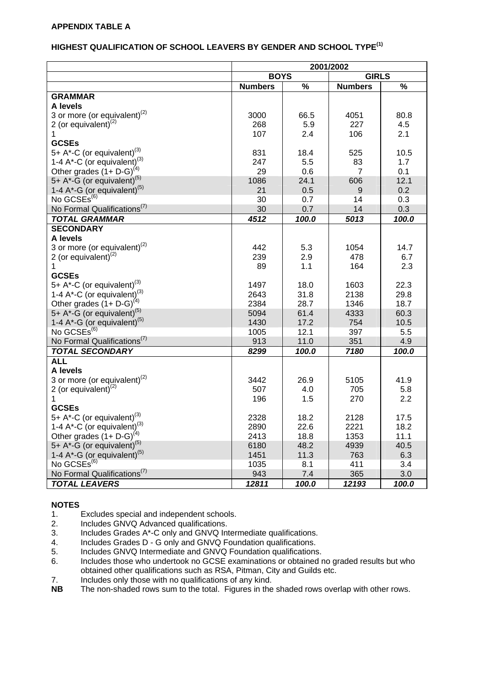#### **HIGHEST QUALIFICATION OF SCHOOL LEAVERS BY GENDER AND SCHOOL TYPE(1)**

|                                                                                              | 2001/2002      |              |                |              |  |  |
|----------------------------------------------------------------------------------------------|----------------|--------------|----------------|--------------|--|--|
|                                                                                              | <b>BOYS</b>    |              |                | <b>GIRLS</b> |  |  |
|                                                                                              | <b>Numbers</b> | $\%$         | <b>Numbers</b> | $\%$         |  |  |
| <b>GRAMMAR</b>                                                                               |                |              |                |              |  |  |
| A levels                                                                                     |                |              |                |              |  |  |
| 3 or more (or equivalent) $^{(2)}$                                                           | 3000           | 66.5         | 4051           | 80.8         |  |  |
| 2 (or equivalent) $^{(2)}$                                                                   | 268            | 5.9          | 227            | 4.5          |  |  |
| 1                                                                                            | 107            | 2.4          | 106            | 2.1          |  |  |
| <b>GCSEs</b>                                                                                 |                |              |                |              |  |  |
| 5+ A*-C (or equivalent) <sup>(3)</sup>                                                       | 831            | 18.4         | 525            | 10.5         |  |  |
| 1-4 A*-C (or equivalent) <sup>(3)</sup><br>Other grades (1+ D-G) <sup>(4)</sup>              | 247            | 5.5          | 83             | 1.7          |  |  |
|                                                                                              | 29             | 0.6          | $\overline{7}$ | 0.1          |  |  |
| 5+ $A^*$ -G (or equivalent) <sup>(5)</sup>                                                   | 1086           | 24.1         | 606            | 12.1         |  |  |
| 1-4 A*-G (or equivalent) <sup>(5)</sup>                                                      | 21             | 0.5          | 9              | 0.2          |  |  |
| No GCSEs <sup>(6)</sup>                                                                      | 30             | 0.7          | 14             | 0.3          |  |  |
| No Formal Qualifications <sup>(7)</sup>                                                      | 30             | 0.7          | 14             | 0.3          |  |  |
| <b>TOTAL GRAMMAR</b>                                                                         | 4512           | 100.0        | 5013           | 100.0        |  |  |
| <b>SECONDARY</b>                                                                             |                |              |                |              |  |  |
| A levels                                                                                     |                |              |                |              |  |  |
| 3 or more (or equivalent) $^{(2)}$                                                           | 442            | 5.3          | 1054           | 14.7         |  |  |
| 2 (or equivalent) $(2)$                                                                      | 239            | 2.9          | 478            | 6.7          |  |  |
| 1                                                                                            | 89             | 1.1          | 164            | 2.3          |  |  |
| <b>GCSEs</b>                                                                                 |                |              |                |              |  |  |
| 5+ A*-C (or equivalent) <sup>(3)</sup>                                                       | 1497           | 18.0         | 1603           | 22.3         |  |  |
| 1-4 $A^*$ -C (or equivalent) <sup>(3)</sup>                                                  | 2643           | 31.8         | 2138           | 29.8         |  |  |
| Other grades $(1 + D-G)^{(4)}$                                                               | 2384           | 28.7         | 1346           | 18.7         |  |  |
| 5+ A*- $\tilde{G}$ (or equivalent) <sup>(5)</sup><br>1-4 A*-G (or equivalent) <sup>(5)</sup> | 5094           | 61.4         | 4333           | 60.3         |  |  |
|                                                                                              | 1430           | 17.2         | 754            | 10.5         |  |  |
| No GCSEs <sup>(6)</sup>                                                                      | 1005           | 12.1         | 397            | 5.5          |  |  |
| No Formal Qualifications <sup>(7)</sup>                                                      | 913            | 11.0         | 351            | 4.9          |  |  |
| <b>TOTAL SECONDARY</b>                                                                       | 8299           | 100.0        | 7180           | 100.0        |  |  |
| <b>ALL</b>                                                                                   |                |              |                |              |  |  |
| A levels                                                                                     |                |              |                |              |  |  |
| 3 or more (or equivalent) $(2)$                                                              | 3442           | 26.9         | 5105           | 41.9         |  |  |
| 2 (or equivalent) $(2)$                                                                      | 507            | 4.0          | 705            | 5.8          |  |  |
| 1<br><b>GCSEs</b>                                                                            | 196            | 1.5          | 270            | 2.2          |  |  |
| 5+ $A^*$ -C (or equivalent) <sup>(3)</sup>                                                   | 2328           | 18.2         | 2128           | 17.5         |  |  |
|                                                                                              |                |              |                |              |  |  |
| 1-4 $A^*$ -C (or equivalent) <sup>(3)</sup><br>Other grades $(1 + D-G)^{(4)}$                | 2890<br>2413   | 22.6<br>18.8 | 2221<br>1353   | 18.2<br>11.1 |  |  |
| 5+ $A^*$ -G (or equivalent) <sup>(5)</sup>                                                   | 6180           | 48.2         | 4939           | 40.5         |  |  |
| 1-4 $A^*$ -G (or equivalent) <sup>(5)</sup>                                                  | 1451           | 11.3         | 763            | 6.3          |  |  |
| No GCSES <sup>(6)</sup>                                                                      | 1035           | 8.1          | 411            | 3.4          |  |  |
| No Formal Qualifications <sup>(7)</sup>                                                      | 943            | 7.4          | 365            | 3.0          |  |  |
| <b>TOTAL LEAVERS</b>                                                                         | 12811          | 100.0        | 12193          | 100.0        |  |  |
|                                                                                              |                |              |                |              |  |  |

- 1. Excludes special and independent schools.
- 2. Includes GNVQ Advanced qualifications.
- 2. Includes Grades A\*-C only and GNVQ Intermediate qualifications.
- 4. Includes Grades D G only and GNVQ Foundation qualifications.<br>5. Includes GNVQ Intermediate and GNVQ Foundation qualifications
- 5. Includes GNVQ Intermediate and GNVQ Foundation qualifications.<br>6. Includes those who undertook no GCSE examinations or obtained r
- Includes those who undertook no GCSE examinations or obtained no graded results but who obtained other qualifications such as RSA, Pitman, City and Guilds etc.
- 7. Includes only those with no qualifications of any kind.<br>
NB The non-shaded rows sum to the total. Figures in the
- The non-shaded rows sum to the total. Figures in the shaded rows overlap with other rows.